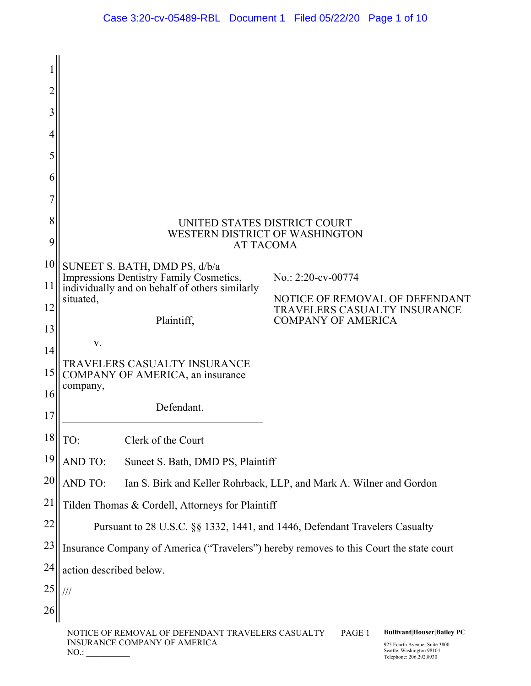| 2  |                                                                                           |                                                                              |
|----|-------------------------------------------------------------------------------------------|------------------------------------------------------------------------------|
| 3  |                                                                                           |                                                                              |
| 4  |                                                                                           |                                                                              |
| 5  |                                                                                           |                                                                              |
| 6  |                                                                                           |                                                                              |
|    |                                                                                           |                                                                              |
| 8  |                                                                                           | UNITED STATES DISTRICT COURT                                                 |
| 9  |                                                                                           | WESTERN DISTRICT OF WASHINGTON<br><b>AT TACOMA</b>                           |
| 10 | SUNEET S. BATH, DMD PS, d/b/a                                                             |                                                                              |
| 11 | Impressions Dentistry Family Cosmetics,<br>individually and on behalf of others similarly | No.: 2:20-cv-00774                                                           |
| 12 | situated,                                                                                 | NOTICE OF REMOVAL OF DEFENDANT<br>TRAVELERS CASUALTY INSURANCE               |
| 13 | Plaintiff,                                                                                | <b>COMPANY OF AMERICA</b>                                                    |
| 14 | V.                                                                                        |                                                                              |
| 15 | TRAVELERS CASUALTY INSURANCE<br>COMPANY OF AMERICA, an insurance                          |                                                                              |
| 16 | company,                                                                                  |                                                                              |
| 17 | Defendant.                                                                                |                                                                              |
| 18 | TO:<br>Clerk of the Court                                                                 |                                                                              |
| 19 | <b>AND TO:</b><br>Suneet S. Bath, DMD PS, Plaintiff                                       |                                                                              |
| 20 | <b>AND TO:</b>                                                                            | Ian S. Birk and Keller Rohrback, LLP, and Mark A. Wilner and Gordon          |
| 21 | Tilden Thomas & Cordell, Attorneys for Plaintiff                                          |                                                                              |
| 22 |                                                                                           | Pursuant to 28 U.S.C. §§ 1332, 1441, and 1446, Defendant Travelers Casualty  |
| 23 | Insurance Company of America ("Travelers") hereby removes to this Court the state court   |                                                                              |
| 24 | action described below.                                                                   |                                                                              |
| 25 | ///                                                                                       |                                                                              |
| 26 |                                                                                           |                                                                              |
|    | NOTICE OF REMOVAL OF DEFENDANT TRAVELERS CASUALTY<br>INSURANCE COMPANY OF AMERICA         | PAGE 1<br><b>Bullivant Houser Bailey PC</b><br>925 Fourth Avenue, Suite 3800 |

NO.: \_\_\_\_\_\_\_\_\_\_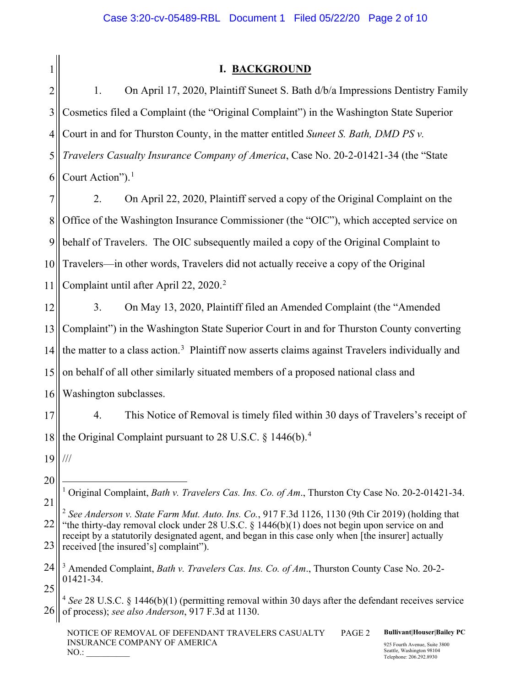1

# **I. BACKGROUND**

2 3 4 5 6 1. On April 17, 2020, Plaintiff Suneet S. Bath d/b/a Impressions Dentistry Family Cosmetics filed a Complaint (the "Original Complaint") in the Washington State Superior Court in and for Thurston County, in the matter entitled *Suneet S. Bath, DMD PS v. Travelers Casualty Insurance Company of America*, Case No. 20-2-01421-34 (the "State Court Action"). $<sup>1</sup>$  $<sup>1</sup>$  $<sup>1</sup>$ </sup>

7 8 9 10 11 2. On April 22, 2020, Plaintiff served a copy of the Original Complaint on the Office of the Washington Insurance Commissioner (the "OIC"), which accepted service on behalf of Travelers. The OIC subsequently mailed a copy of the Original Complaint to Travelers—in other words, Travelers did not actually receive a copy of the Original Complaint until after April 22, 2020. [2](#page-1-1)

12 13 14 15 16 3. On May 13, 2020, Plaintiff filed an Amended Complaint (the "Amended Complaint") in the Washington State Superior Court in and for Thurston County converting the matter to a class action.<sup>[3](#page-1-2)</sup> Plaintiff now asserts claims against Travelers individually and on behalf of all other similarly situated members of a proposed national class and Washington subclasses.

17 18 4. This Notice of Removal is timely filed within 30 days of Travelers's receipt of the Original Complaint pursuant to 28 U.S.C. § 1[4](#page-1-3)46(b).<sup>4</sup>

19 ///

20

NOTICE OF REMOVAL OF DEFENDANT TRAVELERS CASUALTY INSURANCE COMPANY OF AMERICA  $NO.:$ PAGE 2 **Bullivant|Houser|Bailey PC** 925 Fourth Avenue, Suite 3800 Seattle, Washington 98104 Telephone: 206.292.8930

<span id="page-1-0"></span><sup>21</sup> <sup>1</sup> Original Complaint, *Bath v. Travelers Cas. Ins. Co. of Am*., Thurston Cty Case No. 20-2-01421-34.

<span id="page-1-1"></span><sup>22</sup> 23 <sup>2</sup> *See Anderson v. State Farm Mut. Auto. Ins. Co.*, 917 F.3d 1126, 1130 (9th Cir 2019) (holding that "the thirty-day removal clock under 28 U.S.C.  $\S$  1446(b)(1) does not begin upon service on and receipt by a statutorily designated agent, and began in this case only when [the insurer] actually received [the insured's] complaint").

<span id="page-1-2"></span><sup>24</sup> 25 <sup>3</sup> Amended Complaint, *Bath v. Travelers Cas. Ins. Co. of Am*., Thurston County Case No. 20-2- 01421-34.

<span id="page-1-3"></span><sup>26</sup> <sup>4</sup> *See* 28 U.S.C. § 1446(b)(1) (permitting removal within 30 days after the defendant receives service of process); *see also Anderson*, 917 F.3d at 1130.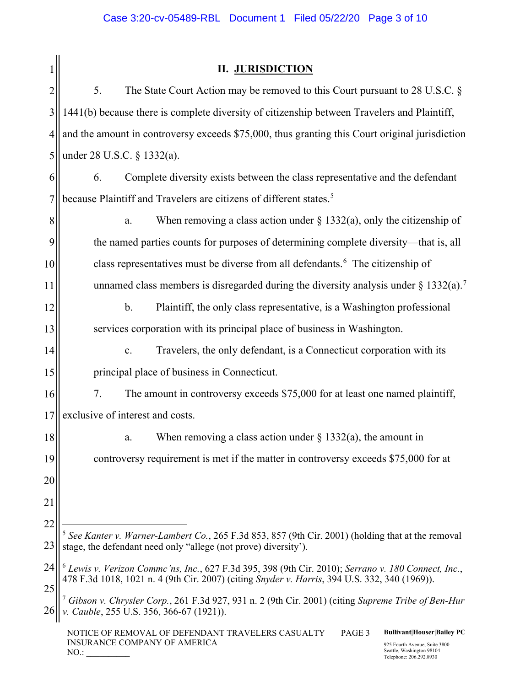|                | <b>II. JURISDICTION</b>                                                                                                                                                                                 |  |  |  |  |
|----------------|---------------------------------------------------------------------------------------------------------------------------------------------------------------------------------------------------------|--|--|--|--|
| $\overline{c}$ | 5.<br>The State Court Action may be removed to this Court pursuant to 28 U.S.C. $\S$                                                                                                                    |  |  |  |  |
| 3              | 1441(b) because there is complete diversity of citizenship between Travelers and Plaintiff,                                                                                                             |  |  |  |  |
| 4              | and the amount in controversy exceeds \$75,000, thus granting this Court original jurisdiction                                                                                                          |  |  |  |  |
| 5              | under 28 U.S.C. § 1332(a).                                                                                                                                                                              |  |  |  |  |
| 6              | Complete diversity exists between the class representative and the defendant<br>6.                                                                                                                      |  |  |  |  |
| 7              | because Plaintiff and Travelers are citizens of different states. <sup>5</sup>                                                                                                                          |  |  |  |  |
| 8              | When removing a class action under $\S$ 1332(a), only the citizenship of<br>a.                                                                                                                          |  |  |  |  |
| 9              | the named parties counts for purposes of determining complete diversity—that is, all                                                                                                                    |  |  |  |  |
| 10             | class representatives must be diverse from all defendants. <sup>6</sup> The citizenship of                                                                                                              |  |  |  |  |
| 11             | unnamed class members is disregarded during the diversity analysis under $\S 1332(a)$ . <sup>7</sup>                                                                                                    |  |  |  |  |
| 12             | $\mathbf b$ .<br>Plaintiff, the only class representative, is a Washington professional                                                                                                                 |  |  |  |  |
| 13             | services corporation with its principal place of business in Washington.                                                                                                                                |  |  |  |  |
| 14             | Travelers, the only defendant, is a Connecticut corporation with its<br>$\mathbf{c}$ .                                                                                                                  |  |  |  |  |
| 15             | principal place of business in Connecticut.                                                                                                                                                             |  |  |  |  |
| 16             | 7.<br>The amount in controversy exceeds \$75,000 for at least one named plaintiff,                                                                                                                      |  |  |  |  |
| 17             | exclusive of interest and costs.                                                                                                                                                                        |  |  |  |  |
| 18             | When removing a class action under $\S$ 1332(a), the amount in<br>a.                                                                                                                                    |  |  |  |  |
| 19             | controversy requirement is met if the matter in controversy exceeds \$75,000 for at                                                                                                                     |  |  |  |  |
| 20             |                                                                                                                                                                                                         |  |  |  |  |
| 21             |                                                                                                                                                                                                         |  |  |  |  |
| 22             | See Kanter v. Warner-Lambert Co., 265 F.3d 853, 857 (9th Cir. 2001) (holding that at the removal                                                                                                        |  |  |  |  |
| 23             | stage, the defendant need only "allege (not prove) diversity").                                                                                                                                         |  |  |  |  |
| 24<br>25       | $^6$ Lewis v. Verizon Commc'ns, Inc., 627 F.3d 395, 398 (9th Cir. 2010); Serrano v. 180 Connect, Inc.,<br>478 F.3d 1018, 1021 n. 4 (9th Cir. 2007) (citing Snyder v. Harris, 394 U.S. 332, 340 (1969)). |  |  |  |  |
|                | Gibson v. Chrysler Corp., 261 F.3d 927, 931 n. 2 (9th Cir. 2001) (citing Supreme Tribe of Ben-Hur<br>Cauble, 255 U.S. 356, 366-67 (1921)).                                                              |  |  |  |  |
|                | <b>Bullivant Houser Bailey PC</b><br>NOTICE OF REMOVAL OF DEFENDANT TRAVELERS CASUALTY<br>PAGE 3                                                                                                        |  |  |  |  |

<span id="page-2-2"></span><span id="page-2-1"></span><span id="page-2-0"></span>INSURANCE COMPANY OF AMERICA

NO.: \_\_\_\_\_\_\_\_\_\_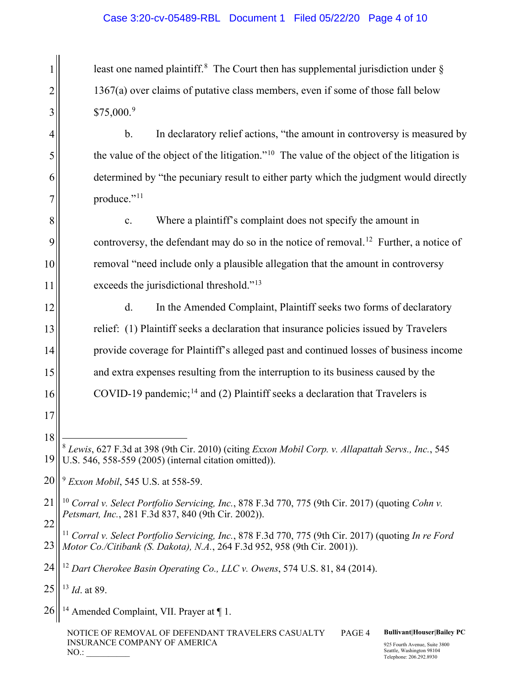least one named plaintiff.<sup>[8](#page-3-0)</sup> The Court then has supplemental jurisdiction under  $\S$ 1367(a) over claims of putative class members, even if some of those fall below \$75,000.<sup>[9](#page-3-1)</sup>

b. In declaratory relief actions, "the amount in controversy is measured by the value of the object of the litigation."<sup>10</sup> The value of the object of the litigation is determined by "the pecuniary result to either party which the judgment would directly produce."<sup>[11](#page-3-3)</sup>

c. Where a plaintiff's complaint does not specify the amount in controversy, the defendant may do so in the notice of removal.<sup>12</sup> Further, a notice of removal "need include only a plausible allegation that the amount in controversy exceeds the jurisdictional threshold."<sup>[13](#page-3-5)</sup>

d. In the Amended Complaint, Plaintiff seeks two forms of declaratory relief: (1) Plaintiff seeks a declaration that insurance policies issued by Travelers provide coverage for Plaintiff's alleged past and continued losses of business income and extra expenses resulting from the interruption to its business caused by the COVID-19 pandemic;<sup>[14](#page-3-6)</sup> and (2) Plaintiff seeks a declaration that Travelers is

<span id="page-3-2"></span>21 22 <sup>10</sup> *Corral v. Select Portfolio Servicing, Inc.*, 878 F.3d 770, 775 (9th Cir. 2017) (quoting *Cohn v. Petsmart, Inc.*, 281 F.3d 837, 840 (9th Cir. 2002)).

<span id="page-3-3"></span>23 <sup>11</sup> *Corral v. Select Portfolio Servicing, Inc.*, 878 F.3d 770, 775 (9th Cir. 2017) (quoting *In re Ford Motor Co./Citibank (S. Dakota), N.A.*, 264 F.3d 952, 958 (9th Cir. 2001)).

<span id="page-3-5"></span>25 <sup>13</sup> *Id*. at 89.

1

2

3

4

5

6

7

8

9

10

11

12

13

14

15

16

17

18

<span id="page-3-6"></span>26 <sup>14</sup> Amended Complaint, VII. Prayer at  $\P$  1.

> NOTICE OF REMOVAL OF DEFENDANT TRAVELERS CASUALTY INSURANCE COMPANY OF AMERICA  $NO.:$

PAGE 4 **Bullivant|Houser|Bailey PC**

<span id="page-3-0"></span><sup>19</sup> <sup>8</sup> *Lewis*, 627 F.3d at 398 (9th Cir. 2010) (citing *Exxon Mobil Corp. v. Allapattah Servs., Inc.*, 545 U.S. 546, 558-559 (2005) (internal citation omitted)).

<span id="page-3-1"></span><sup>20</sup> <sup>9</sup> *Exxon Mobil*, 545 U.S. at 558-59.

<span id="page-3-4"></span><sup>24</sup> <sup>12</sup> *Dart Cherokee Basin Operating Co., LLC v. Owens*, 574 U.S. 81, 84 (2014).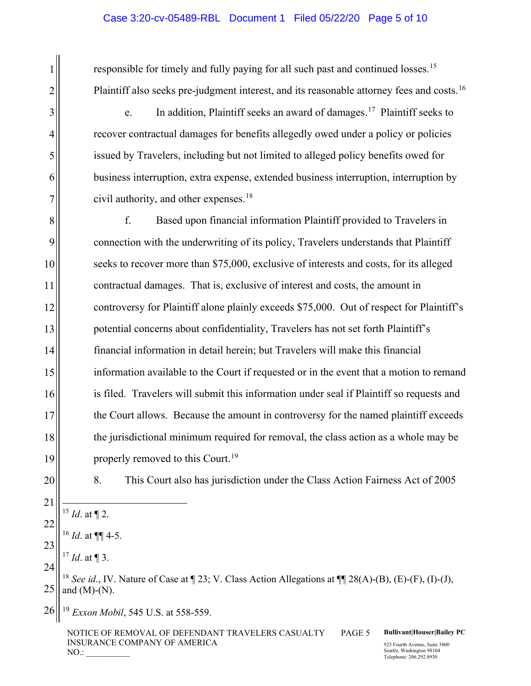### Case 3:20-cv-05489-RBL Document 1 Filed 05/22/20 Page 5 of 10

responsible for timely and fully paying for all such past and continued losses.<sup>15</sup> Plaintiff also seeks pre-judgment interest, and its reasonable attorney fees and costs.<sup>[16](#page-4-1)</sup>

e. In addition, Plaintiff seeks an award of damages.<sup>17</sup> Plaintiff seeks to recover contractual damages for benefits allegedly owed under a policy or policies issued by Travelers, including but not limited to alleged policy benefits owed for business interruption, extra expense, extended business interruption, interruption by civil authority, and other expenses. [18](#page-4-3)

8 9 10 11 12 13 f. Based upon financial information Plaintiff provided to Travelers in connection with the underwriting of its policy, Travelers understands that Plaintiff seeks to recover more than \$75,000, exclusive of interests and costs, for its alleged contractual damages. That is, exclusive of interest and costs, the amount in controversy for Plaintiff alone plainly exceeds \$75,000. Out of respect for Plaintiff's potential concerns about confidentiality, Travelers has not set forth Plaintiff's financial information in detail herein; but Travelers will make this financial information available to the Court if requested or in the event that a motion to remand is filed. Travelers will submit this information under seal if Plaintiff so requests and the Court allows. Because the amount in controversy for the named plaintiff exceeds the jurisdictional minimum required for removal, the class action as a whole may be properly removed to this Court.<sup>[19](#page-4-4)</sup>

20

1

2

3

4

5

6

7

8. This Court also has jurisdiction under the Class Action Fairness Act of 2005

- <span id="page-4-0"></span><sup>15</sup> *Id*. at ¶ 2.
- <sup>16</sup> *Id*. at ¶¶ 4-5.
- <span id="page-4-2"></span><span id="page-4-1"></span><sup>17</sup> *Id*. at ¶ 3.

<span id="page-4-3"></span>25 <sup>18</sup> *See id*., IV. Nature of Case at ¶ 23; V. Class Action Allegations at ¶¶ 28(A)-(B), (E)-(F), (I)-(J), and  $(M)-(N)$ .

<span id="page-4-4"></span>26 <sup>19</sup> *Exxon Mobil*, 545 U.S. at 558-559.

> NOTICE OF REMOVAL OF DEFENDANT TRAVELERS CASUALTY INSURANCE COMPANY OF AMERICA  $NO.:$

PAGE 5 **Bullivant|Houser|Bailey PC**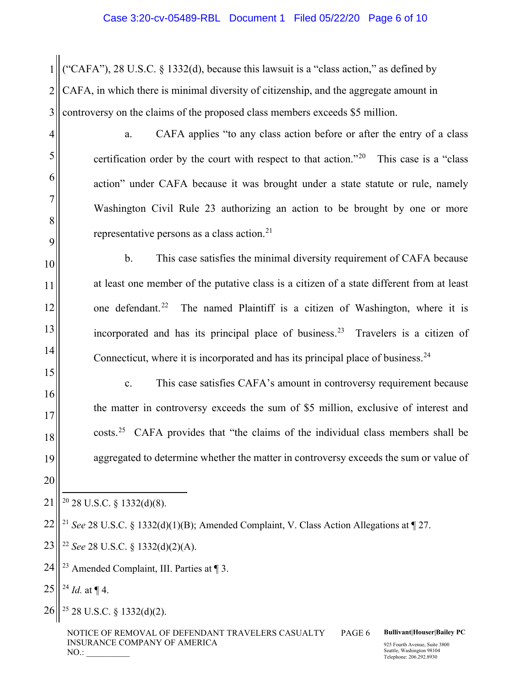1 2 3 ("CAFA"), 28 U.S.C. § 1332(d), because this lawsuit is a "class action," as defined by CAFA, in which there is minimal diversity of citizenship, and the aggregate amount in controversy on the claims of the proposed class members exceeds \$5 million.

- a. CAFA applies "to any class action before or after the entry of a class certification order by the court with respect to that action."<sup>20</sup> This case is a "class" action" under CAFA because it was brought under a state statute or rule, namely Washington Civil Rule 23 authorizing an action to be brought by one or more representative persons as a class action.<sup>21</sup>
- b. This case satisfies the minimal diversity requirement of CAFA because at least one member of the putative class is a citizen of a state different from at least one defendant.<sup>[22](#page-5-2)</sup> The named Plaintiff is a citizen of Washington, where it is incorporated and has its principal place of business.<sup>[23](#page-5-3)</sup> Travelers is a citizen of Connecticut, where it is incorporated and has its principal place of business.  $24$ 
	- c. This case satisfies CAFA's amount in controversy requirement because the matter in controversy exceeds the sum of \$5 million, exclusive of interest and costs.[25](#page-5-5) CAFA provides that "the claims of the individual class members shall be aggregated to determine whether the matter in controversy exceeds the sum or value of

<span id="page-5-3"></span> $24$   $\parallel$  <sup>23</sup> Amended Complaint, III. Parties at ¶ 3.

<span id="page-5-4"></span> $25||^{24}$  *Id.* at ¶ 4.

4

5

6

7

8

9

10

11

12

13

14

15

16

17

18

19

20

<span id="page-5-5"></span>26 <sup>25</sup> 28 U.S.C. § 1332(d)(2).

NOTICE OF REMOVAL OF DEFENDANT TRAVELERS CASUALTY INSURANCE COMPANY OF AMERICA  $NO.:$ 

PAGE 6 **Bullivant|Houser|Bailey PC**

<span id="page-5-0"></span><sup>21</sup>  $20$  28 U.S.C. § 1332(d)(8).

<span id="page-5-1"></span><sup>22</sup> <sup>21</sup> *See* 28 U.S.C. § 1332(d)(1)(B); Amended Complaint, V. Class Action Allegations at  $\llbracket$  27.

<span id="page-5-2"></span> $23$ <sup>22</sup> *See* 28 U.S.C. § 1332(d)(2)(A).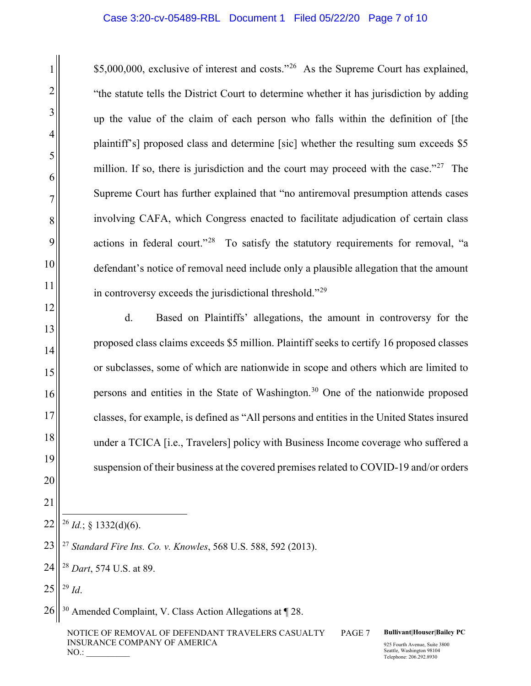\$5,000,000, exclusive of interest and costs."[26](#page-6-0) As the Supreme Court has explained, "the statute tells the District Court to determine whether it has jurisdiction by adding up the value of the claim of each person who falls within the definition of [the plaintiff's] proposed class and determine [sic] whether the resulting sum exceeds \$5 million. If so, there is jurisdiction and the court may proceed with the case."<sup>[27](#page-6-1)</sup> The Supreme Court has further explained that "no antiremoval presumption attends cases involving CAFA, which Congress enacted to facilitate adjudication of certain class actions in federal court."<sup>[28](#page-6-2)</sup> To satisfy the statutory requirements for removal, "a defendant's notice of removal need include only a plausible allegation that the amount in controversy exceeds the jurisdictional threshold."[29](#page-6-3)

d. Based on Plaintiffs' allegations, the amount in controversy for the proposed class claims exceeds \$5 million. Plaintiff seeks to certify 16 proposed classes or subclasses, some of which are nationwide in scope and others which are limited to persons and entities in the State of Washington.[30](#page-6-4) One of the nationwide proposed classes, for example, is defined as "All persons and entities in the United States insured under a TCICA [i.e., Travelers] policy with Business Income coverage who suffered a suspension of their business at the covered premises related to COVID-19 and/or orders

- <span id="page-6-0"></span>22  $^{26}$  *Id.*; § 1332(d)(6).
- <span id="page-6-1"></span>23 <sup>27</sup> *Standard Fire Ins. Co. v. Knowles*, 568 U.S. 588, 592 (2013).
- <span id="page-6-2"></span>24 <sup>28</sup> *Dart*, 574 U.S. at 89.
- <span id="page-6-3"></span>25 <sup>29</sup> *Id*.

1

2

3

4

5

6

7

8

9

10

11

12

13

14

15

16

17

18

19

20

21

<span id="page-6-4"></span>26 <sup>30</sup> Amended Complaint, V. Class Action Allegations at ¶ 28.

NOTICE OF REMOVAL OF DEFENDANT TRAVELERS CASUALTY INSURANCE COMPANY OF AMERICA  $NO.:$ 

#### PAGE 7 **Bullivant|Houser|Bailey PC**

925 Fourth Avenue, Suite 3800 Seattle, Washington 98104 Telephone: 206.292.8930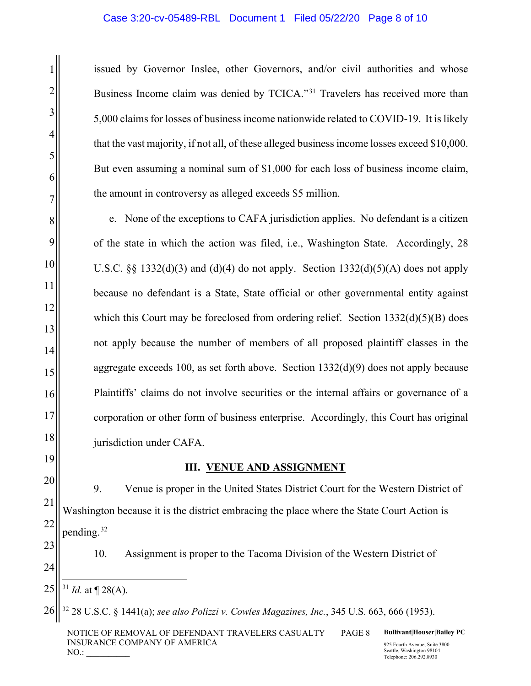#### Case 3:20-cv-05489-RBL Document 1 Filed 05/22/20 Page 8 of 10

issued by Governor Inslee, other Governors, and/or civil authorities and whose Business Income claim was denied by TCICA."[31](#page-7-0) Travelers has received more than 5,000 claims for losses of business income nationwide related to COVID-19. It is likely that the vast majority, if not all, of these alleged business income losses exceed \$10,000. But even assuming a nominal sum of \$1,000 for each loss of business income claim, the amount in controversy as alleged exceeds \$5 million.

e. None of the exceptions to CAFA jurisdiction applies. No defendant is a citizen of the state in which the action was filed, i.e., Washington State. Accordingly, 28 U.S.C.  $\&$  1332(d)(3) and (d)(4) do not apply. Section 1332(d)(5)(A) does not apply because no defendant is a State, State official or other governmental entity against which this Court may be foreclosed from ordering relief. Section  $1332(d)(5)(B)$  does not apply because the number of members of all proposed plaintiff classes in the aggregate exceeds 100, as set forth above. Section  $1332(d)(9)$  does not apply because Plaintiffs' claims do not involve securities or the internal affairs or governance of a corporation or other form of business enterprise. Accordingly, this Court has original jurisdiction under CAFA.

19 20

21

22

23

24

1

2

3

4

5

6

7

8

9

10

11

12

13

14

15

16

17

18

# **III. VENUE AND ASSIGNMENT**

9. Venue is proper in the United States District Court for the Western District of Washington because it is the district embracing the place where the State Court Action is pending.<sup>[32](#page-7-1)</sup>

10. Assignment is proper to the Tacoma Division of the Western District of

<span id="page-7-0"></span>25  $31$  *Id.* at  $\P$  28(A).

<span id="page-7-1"></span>26 <sup>32</sup> 28 U.S.C. § 1441(a); *see also Polizzi v. Cowles Magazines, Inc.*, 345 U.S. 663, 666 (1953).

NOTICE OF REMOVAL OF DEFENDANT TRAVELERS CASUALTY INSURANCE COMPANY OF AMERICA  $NO.:$ 

PAGE 8 **Bullivant|Houser|Bailey PC**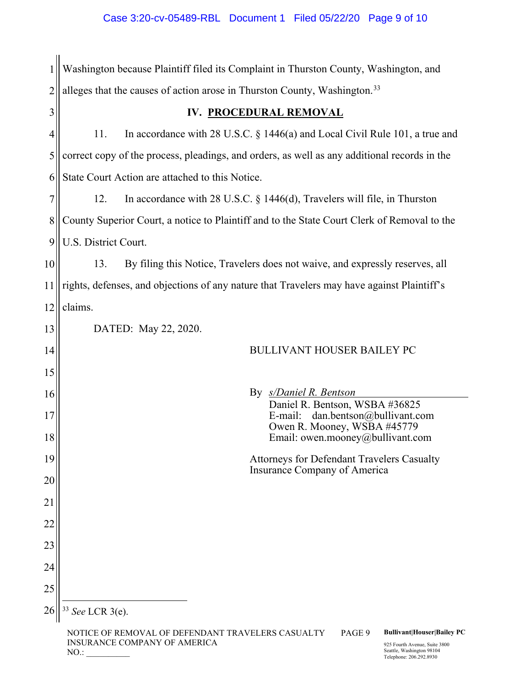|                | Washington because Plaintiff filed its Complaint in Thurston County, Washington, and                                                                              |  |  |  |  |
|----------------|-------------------------------------------------------------------------------------------------------------------------------------------------------------------|--|--|--|--|
| $\overline{2}$ | alleges that the causes of action arose in Thurston County, Washington. <sup>33</sup>                                                                             |  |  |  |  |
| 3              | IV. PROCEDURAL REMOVAL                                                                                                                                            |  |  |  |  |
| 4              | 11.<br>In accordance with 28 U.S.C. $\S$ 1446(a) and Local Civil Rule 101, a true and                                                                             |  |  |  |  |
| 5              | correct copy of the process, pleadings, and orders, as well as any additional records in the                                                                      |  |  |  |  |
| 6              | State Court Action are attached to this Notice.                                                                                                                   |  |  |  |  |
| 7              | In accordance with 28 U.S.C. $\S$ 1446(d), Travelers will file, in Thurston<br>12.                                                                                |  |  |  |  |
| 8              | County Superior Court, a notice to Plaintiff and to the State Court Clerk of Removal to the                                                                       |  |  |  |  |
| 9              | U.S. District Court.                                                                                                                                              |  |  |  |  |
| 10             | 13.<br>By filing this Notice, Travelers does not waive, and expressly reserves, all                                                                               |  |  |  |  |
| 11             | rights, defenses, and objections of any nature that Travelers may have against Plaintiff's                                                                        |  |  |  |  |
| 12             | claims.                                                                                                                                                           |  |  |  |  |
| 13             | DATED: May 22, 2020.                                                                                                                                              |  |  |  |  |
| 14             | <b>BULLIVANT HOUSER BAILEY PC</b>                                                                                                                                 |  |  |  |  |
| 15             |                                                                                                                                                                   |  |  |  |  |
| 16             | By <i>s/Daniel R. Bentson</i><br>Daniel R. Bentson, WSBA #36825                                                                                                   |  |  |  |  |
| 17             | E-mail:<br>dan.bentson@bullivant.com<br>Owen R. Mooney, WSBA #45779                                                                                               |  |  |  |  |
| 18             | Email: owen.mooney@bullivant.com                                                                                                                                  |  |  |  |  |
| 19             | Attorneys for Defendant Travelers Casualty<br>Insurance Company of America                                                                                        |  |  |  |  |
| 20             |                                                                                                                                                                   |  |  |  |  |
| 21             |                                                                                                                                                                   |  |  |  |  |
| 22             |                                                                                                                                                                   |  |  |  |  |
| 23             |                                                                                                                                                                   |  |  |  |  |
| 24             |                                                                                                                                                                   |  |  |  |  |
| 25             |                                                                                                                                                                   |  |  |  |  |
| 26             | See LCR 3(e).                                                                                                                                                     |  |  |  |  |
|                | <b>Bullivant Houser Bailey PC</b><br>NOTICE OF REMOVAL OF DEFENDANT TRAVELERS CASUALTY<br>PAGE 9<br>INSURANCE COMPANY OF AMERICA<br>925 Fourth Avenue, Suite 3800 |  |  |  |  |

<span id="page-8-0"></span>NO.: \_\_\_\_\_\_\_\_\_\_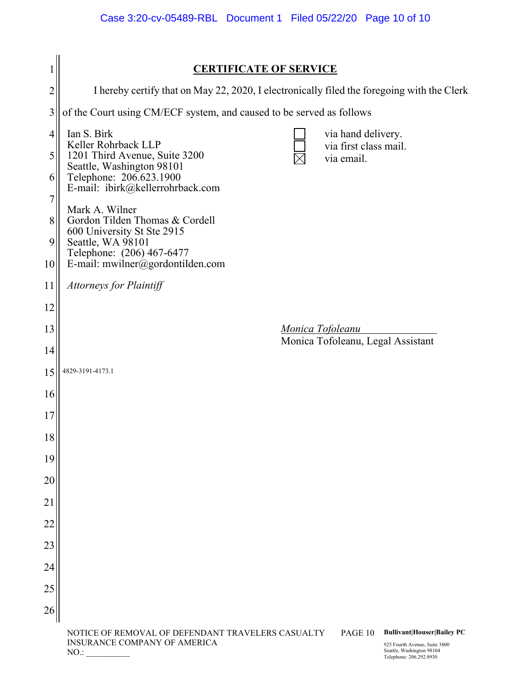|                          | <b>CERTIFICATE OF SERVICE</b>                                                                                                                                                                                                |  |  |  |  |
|--------------------------|------------------------------------------------------------------------------------------------------------------------------------------------------------------------------------------------------------------------------|--|--|--|--|
| $\overline{c}$           | I hereby certify that on May 22, 2020, I electronically filed the foregoing with the Clerk                                                                                                                                   |  |  |  |  |
| 3                        | of the Court using CM/ECF system, and caused to be served as follows                                                                                                                                                         |  |  |  |  |
| $\overline{4}$<br>5<br>6 | Ian S. Birk<br>via hand delivery.<br>Keller Rohrback LLP<br>via first class mail.<br>1201 Third Avenue, Suite 3200<br>via email.<br>Seattle, Washington 98101<br>Telephone: 206.623.1900<br>E-mail: ibirk@kellerrohrback.com |  |  |  |  |
| 7<br>8<br>9<br>10        | Mark A. Wilner<br>Gordon Tilden Thomas & Cordell<br>600 University St Ste 2915<br>Seattle, WA 98101<br>Telephone: (206) 467-6477<br>E-mail: mwilner@gordontilden.com                                                         |  |  |  |  |
| 11                       | Attorneys for Plaintiff                                                                                                                                                                                                      |  |  |  |  |
| 12                       |                                                                                                                                                                                                                              |  |  |  |  |
| 13                       | <u>Monica Tofoleanu</u>                                                                                                                                                                                                      |  |  |  |  |
| 14                       | Monica Tofoleanu, Legal Assistant                                                                                                                                                                                            |  |  |  |  |
| 15                       | 4829-3191-4173.1                                                                                                                                                                                                             |  |  |  |  |
| 16                       |                                                                                                                                                                                                                              |  |  |  |  |
| 17                       |                                                                                                                                                                                                                              |  |  |  |  |
| 18                       |                                                                                                                                                                                                                              |  |  |  |  |
| 19                       |                                                                                                                                                                                                                              |  |  |  |  |
| 20                       |                                                                                                                                                                                                                              |  |  |  |  |
| 21                       |                                                                                                                                                                                                                              |  |  |  |  |
| 22                       |                                                                                                                                                                                                                              |  |  |  |  |
| 23                       |                                                                                                                                                                                                                              |  |  |  |  |
| 24                       |                                                                                                                                                                                                                              |  |  |  |  |
| 25                       |                                                                                                                                                                                                                              |  |  |  |  |
| 26                       |                                                                                                                                                                                                                              |  |  |  |  |
|                          | <b>Bullivant Houser Bailey PC</b><br>NOTICE OF REMOVAL OF DEFENDANT TRAVELERS CASUALTY<br>PAGE 10<br>INSURANCE COMPANY OF AMERICA<br>925 Fourth Avenue, Suite 3800                                                           |  |  |  |  |

NO.: \_\_\_\_\_\_\_\_\_\_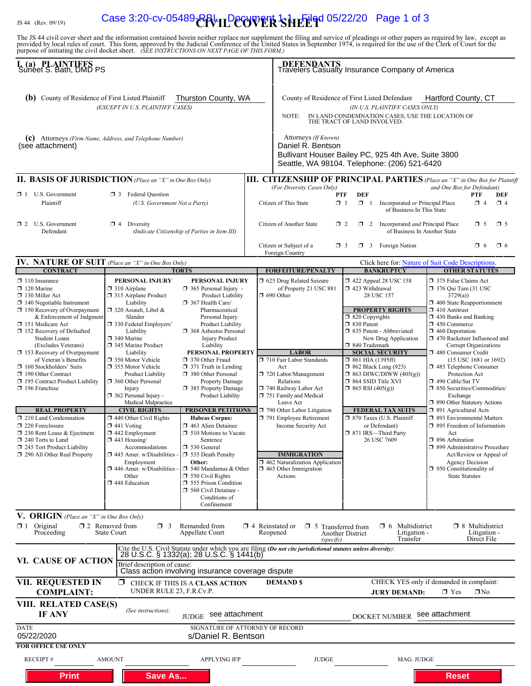# IS 44 (Rev. 09/19) **Case 3:20-cv-05489-RBL LDecument 1-3 Filed 05/22/20** Page 1 of 3

The JS 44 civil cover sheet and the information contained herein neither replace nor supplement the filing and service of pleadings or other papers as required by law, except as provided by local rules of court. This form,

| I. (a) PLAINTIFFS<br>Suneet S. Bath, DMD PS                                                                                                                                                                                                                                                                                                                                                                                                                                                                                                                                                                                                                                        |                                                                                                                                                                                                                                                                                                                                                                                                                                                                                                                                                                                                                                                |                                                                                                                                                                                                                                                                                                                                                                                                                                                                                                                                                                                                                                                                                                                                                             |                                                                                                                                                                                                                                                                                                       | <b>DEFENDANTS</b><br>Travelers Casualty Insurance Company of America                                                                                                                                                                                                                                                                                                                                                                                    |                                                                                                                                                                                                                                                                                                                                                                |                                                                                                                                                   |                                                                                                                                                                                                                                                                                                                                                                                                                                                                                                                                                                                                                                                                                                                                                                                                                           |                                                       |                     |
|------------------------------------------------------------------------------------------------------------------------------------------------------------------------------------------------------------------------------------------------------------------------------------------------------------------------------------------------------------------------------------------------------------------------------------------------------------------------------------------------------------------------------------------------------------------------------------------------------------------------------------------------------------------------------------|------------------------------------------------------------------------------------------------------------------------------------------------------------------------------------------------------------------------------------------------------------------------------------------------------------------------------------------------------------------------------------------------------------------------------------------------------------------------------------------------------------------------------------------------------------------------------------------------------------------------------------------------|-------------------------------------------------------------------------------------------------------------------------------------------------------------------------------------------------------------------------------------------------------------------------------------------------------------------------------------------------------------------------------------------------------------------------------------------------------------------------------------------------------------------------------------------------------------------------------------------------------------------------------------------------------------------------------------------------------------------------------------------------------------|-------------------------------------------------------------------------------------------------------------------------------------------------------------------------------------------------------------------------------------------------------------------------------------------------------|---------------------------------------------------------------------------------------------------------------------------------------------------------------------------------------------------------------------------------------------------------------------------------------------------------------------------------------------------------------------------------------------------------------------------------------------------------|----------------------------------------------------------------------------------------------------------------------------------------------------------------------------------------------------------------------------------------------------------------------------------------------------------------------------------------------------------------|---------------------------------------------------------------------------------------------------------------------------------------------------|---------------------------------------------------------------------------------------------------------------------------------------------------------------------------------------------------------------------------------------------------------------------------------------------------------------------------------------------------------------------------------------------------------------------------------------------------------------------------------------------------------------------------------------------------------------------------------------------------------------------------------------------------------------------------------------------------------------------------------------------------------------------------------------------------------------------------|-------------------------------------------------------|---------------------|
| Thurston County, WA<br>(b) County of Residence of First Listed Plaintiff<br>(EXCEPT IN U.S. PLAINTIFF CASES)<br>(C) Attorneys (Firm Name, Address, and Telephone Number)<br>(see attachment)                                                                                                                                                                                                                                                                                                                                                                                                                                                                                       |                                                                                                                                                                                                                                                                                                                                                                                                                                                                                                                                                                                                                                                |                                                                                                                                                                                                                                                                                                                                                                                                                                                                                                                                                                                                                                                                                                                                                             | Hartford County, CT<br>County of Residence of First Listed Defendant<br>(IN U.S. PLAINTIFF CASES ONLY)<br>IN LAND CONDEMNATION CASES, USE THE LOCATION OF<br>NOTE:<br>THE TRACT OF LAND INVOLVED.<br>Attorneys (If Known)<br>Daniel R. Bentson<br>Bullivant Houser Bailey PC, 925 4th Ave, Suite 3800 |                                                                                                                                                                                                                                                                                                                                                                                                                                                         |                                                                                                                                                                                                                                                                                                                                                                |                                                                                                                                                   |                                                                                                                                                                                                                                                                                                                                                                                                                                                                                                                                                                                                                                                                                                                                                                                                                           |                                                       |                     |
|                                                                                                                                                                                                                                                                                                                                                                                                                                                                                                                                                                                                                                                                                    |                                                                                                                                                                                                                                                                                                                                                                                                                                                                                                                                                                                                                                                |                                                                                                                                                                                                                                                                                                                                                                                                                                                                                                                                                                                                                                                                                                                                                             |                                                                                                                                                                                                                                                                                                       | Seattle, WA 98104. Telephone: (206) 521-6420                                                                                                                                                                                                                                                                                                                                                                                                            |                                                                                                                                                                                                                                                                                                                                                                |                                                                                                                                                   |                                                                                                                                                                                                                                                                                                                                                                                                                                                                                                                                                                                                                                                                                                                                                                                                                           |                                                       |                     |
| <b>II. BASIS OF JURISDICTION</b> (Place an "X" in One Box Only)                                                                                                                                                                                                                                                                                                                                                                                                                                                                                                                                                                                                                    |                                                                                                                                                                                                                                                                                                                                                                                                                                                                                                                                                                                                                                                |                                                                                                                                                                                                                                                                                                                                                                                                                                                                                                                                                                                                                                                                                                                                                             |                                                                                                                                                                                                                                                                                                       | <b>III. CITIZENSHIP OF PRINCIPAL PARTIES</b> (Place an "X" in One Box for Plaintiff<br>(For Diversity Cases Only)                                                                                                                                                                                                                                                                                                                                       |                                                                                                                                                                                                                                                                                                                                                                |                                                                                                                                                   | and One Box for Defendant)                                                                                                                                                                                                                                                                                                                                                                                                                                                                                                                                                                                                                                                                                                                                                                                                |                                                       |                     |
| $\Box$ 1 U.S. Government<br>Plaintiff                                                                                                                                                                                                                                                                                                                                                                                                                                                                                                                                                                                                                                              | <b>3</b> Federal Question<br>(U.S. Government Not a Party)                                                                                                                                                                                                                                                                                                                                                                                                                                                                                                                                                                                     |                                                                                                                                                                                                                                                                                                                                                                                                                                                                                                                                                                                                                                                                                                                                                             | <b>DEF</b><br>PTF<br>PTF<br>DEF<br>$\Box$ 1<br>$\Box$ 1<br>$\boxtimes$ 4<br>Citizen of This State<br>Incorporated or Principal Place<br>$\Box$ 4<br>of Business In This State                                                                                                                         |                                                                                                                                                                                                                                                                                                                                                                                                                                                         |                                                                                                                                                                                                                                                                                                                                                                |                                                                                                                                                   |                                                                                                                                                                                                                                                                                                                                                                                                                                                                                                                                                                                                                                                                                                                                                                                                                           |                                                       |                     |
| $\Box$ 2 U.S. Government<br>Defendant                                                                                                                                                                                                                                                                                                                                                                                                                                                                                                                                                                                                                                              | $\mathbf{X}$ 4 Diversity                                                                                                                                                                                                                                                                                                                                                                                                                                                                                                                                                                                                                       | (Indicate Citizenship of Parties in Item III)                                                                                                                                                                                                                                                                                                                                                                                                                                                                                                                                                                                                                                                                                                               |                                                                                                                                                                                                                                                                                                       | Citizen of Another State<br>$\Box$ 2                                                                                                                                                                                                                                                                                                                                                                                                                    |                                                                                                                                                                                                                                                                                                                                                                | $\Box$ 2 Incorporated <i>and</i> Principal Place<br>of Business In Another State                                                                  |                                                                                                                                                                                                                                                                                                                                                                                                                                                                                                                                                                                                                                                                                                                                                                                                                           | $\Box$ 5                                              | $\mathbf{\times}$ 5 |
|                                                                                                                                                                                                                                                                                                                                                                                                                                                                                                                                                                                                                                                                                    |                                                                                                                                                                                                                                                                                                                                                                                                                                                                                                                                                                                                                                                |                                                                                                                                                                                                                                                                                                                                                                                                                                                                                                                                                                                                                                                                                                                                                             |                                                                                                                                                                                                                                                                                                       | Citizen or Subject of a<br>$\Box$ 3<br>Foreign Country                                                                                                                                                                                                                                                                                                                                                                                                  |                                                                                                                                                                                                                                                                                                                                                                | $\Box$ 3 Foreign Nation                                                                                                                           |                                                                                                                                                                                                                                                                                                                                                                                                                                                                                                                                                                                                                                                                                                                                                                                                                           | $\Box$ 6                                              | $\Box$ 6            |
| IV. NATURE OF SUIT (Place an "X" in One Box Only)                                                                                                                                                                                                                                                                                                                                                                                                                                                                                                                                                                                                                                  |                                                                                                                                                                                                                                                                                                                                                                                                                                                                                                                                                                                                                                                |                                                                                                                                                                                                                                                                                                                                                                                                                                                                                                                                                                                                                                                                                                                                                             |                                                                                                                                                                                                                                                                                                       |                                                                                                                                                                                                                                                                                                                                                                                                                                                         |                                                                                                                                                                                                                                                                                                                                                                |                                                                                                                                                   |                                                                                                                                                                                                                                                                                                                                                                                                                                                                                                                                                                                                                                                                                                                                                                                                                           |                                                       |                     |
| <b>CONTRACT</b><br>$\mathbf{\times}$ 110 Insurance<br>$\Box$ 120 Marine<br>130 Miller Act<br>$\Box$ 140 Negotiable Instrument<br>$\Box$ 150 Recovery of Overpayment<br>& Enforcement of Judgment<br>151 Medicare Act<br>□ 152 Recovery of Defaulted<br><b>Student Loans</b><br>(Excludes Veterans)<br>153 Recovery of Overpayment<br>of Veteran's Benefits<br>160 Stockholders' Suits<br>190 Other Contract<br>□ 195 Contract Product Liability<br>$\Box$ 196 Franchise<br><b>REAL PROPERTY</b><br>$\Box$ 210 Land Condemnation<br>220 Foreclosure<br>$\Box$ 230 Rent Lease & Ejectment<br>$\Box$ 240 Torts to Land<br>245 Tort Product Liability<br>□ 290 All Other Real Property | PERSONAL INJURY<br>$\Box$ 310 Airplane<br>□ 315 Airplane Product<br>Liability<br>□ 320 Assault, Libel &<br>Slander<br>□ 330 Federal Employers'<br>Liability<br>□ 340 Marine<br>345 Marine Product<br>Liability<br>□ 350 Motor Vehicle<br>□ 355 Motor Vehicle<br><b>Product Liability</b><br>360 Other Personal<br>Injury<br>$\Box$ 362 Personal Injury -<br>Medical Malpractice<br><b>CIVIL RIGHTS</b><br>$\Box$ 440 Other Civil Rights<br>$\Box$ 441 Voting<br>$\Box$ 442 Employment<br>$\Box$ 443 Housing/<br>Accommodations<br>$\Box$ 445 Amer. w/Disabilities -<br>Employment<br>$\Box$ 446 Amer. w/Disabilities<br>Other<br>448 Education | <b>TORTS</b><br><b>PERSONAL INJURY</b><br>365 Personal Injury -<br>Product Liability<br>$\Box$ 367 Health Care/<br>Pharmaceutical<br>Personal Injury<br>Product Liability<br><b>1</b> 368 Asbestos Personal<br><b>Injury Product</b><br>Liability<br>PERSONAL PROPERTY<br>□ 370 Other Fraud<br>$\Box$ 371 Truth in Lending<br>380 Other Personal<br><b>Property Damage</b><br>385 Property Damage<br>Product Liability<br><b>PRISONER PETITIONS</b><br><b>Habeas Corpus:</b><br>$\Box$ 463 Alien Detainee<br>$\Box$ 510 Motions to Vacate<br>Sentence<br>$\Box$ 530 General<br>535 Death Penalty<br>Other:<br>$\Box$ 540 Mandamus & Other<br>$\Box$ 550 Civil Rights<br><b>355 Prison Condition</b><br>560 Civil Detainee -<br>Conditions of<br>Confinement |                                                                                                                                                                                                                                                                                                       | <b>FORFEITURE/PENALTY</b><br>5 625 Drug Related Seizure<br>of Property 21 USC 881<br>$\Box$ 690 Other<br><b>LABOR</b><br>710 Fair Labor Standards<br>Act<br>720 Labor/Management<br>Relations<br>740 Railway Labor Act<br>751 Family and Medical<br>Leave Act<br>790 Other Labor Litigation<br>791 Employee Retirement<br>Income Security Act<br><b>IMMIGRATION</b><br>$\Box$ 462 Naturalization Application<br>$\Box$ 465 Other Immigration<br>Actions | 158 122 Appeal 28 USC 158<br>□ 423 Withdrawal<br>28 USC 157<br>□ 820 Copyrights<br>30 Patent<br>335 Patent - Abbreviated<br>□ 840 Trademark<br><b>SOCIAL SECURITY</b><br>$\Box$ 861 HIA (1395ff)<br>$\Box$ 862 Black Lung (923)<br>$\Box$ 864 SSID Title XVI<br>$\Box$ 865 RSI (405(g))<br>□ 870 Taxes (U.S. Plaintiff<br>□ 871 IRS-Third Party<br>26 USC 7609 | <b>BANKRUPTCY</b><br><b>PROPERTY RIGHTS</b><br>New Drug Application<br>$\Box$ 863 DIWC/DIWW (405(g))<br><b>FEDERAL TAX SUITS</b><br>or Defendant) | Click here for: Nature of Suit Code Descriptions.<br><b>OTHER STATUTES</b><br>375 False Claims Act<br>□ 376 Qui Tam (31 USC<br>3729(a)<br>$\Box$ 400 State Reapportionment<br>$\Box$ 410 Antitrust<br>1 430 Banks and Banking<br>$\Box$ 450 Commerce<br>$\Box$ 460 Deportation<br>1 470 Racketeer Influenced and<br><b>Corrupt Organizations</b><br>480 Consumer Credit<br>(15 USC 1681 or 1692)<br>485 Telephone Consumer<br>Protection Act<br>□ 490 Cable/Sat TV<br>□ 850 Securities/Commodities/<br>Exchange<br>□ 890 Other Statutory Actions<br>□ 891 Agricultural Acts<br>□ 893 Environmental Matters<br>□ 895 Freedom of Information<br>Act<br>□ 896 Arbitration<br>□ 899 Administrative Procedure<br>Act/Review or Appeal of<br><b>Agency Decision</b><br>$\Box$ 950 Constitutionality of<br><b>State Statutes</b> |                                                       |                     |
| V. ORIGIN (Place an "X" in One Box Only)<br>$\Box$ 1 Original<br>Proceeding                                                                                                                                                                                                                                                                                                                                                                                                                                                                                                                                                                                                        | $\mathbb{X}$ 2 Removed from<br>$\Box$ 3<br><b>State Court</b>                                                                                                                                                                                                                                                                                                                                                                                                                                                                                                                                                                                  | Remanded from<br>Appellate Court                                                                                                                                                                                                                                                                                                                                                                                                                                                                                                                                                                                                                                                                                                                            |                                                                                                                                                                                                                                                                                                       | $\Box$ 4 Reinstated or<br>$\square$ 5<br>Reopened<br>(specify)                                                                                                                                                                                                                                                                                                                                                                                          | Transferred from<br><b>Another District</b>                                                                                                                                                                                                                                                                                                                    | Multidistrict<br>$\Box$ 6<br>Litigation -<br>Transfer                                                                                             |                                                                                                                                                                                                                                                                                                                                                                                                                                                                                                                                                                                                                                                                                                                                                                                                                           | $\Box$ 8 Multidistrict<br>Litigation -<br>Direct File |                     |
| Cite the U.S. Civil Statute under which you are filing (Do not cite jurisdictional statutes unless diversity):<br>28 U.S.C. § 1332(a); 28 U.S.C. § 1441(b)<br>VI. CAUSE OF ACTION<br>Brief description of cause:                                                                                                                                                                                                                                                                                                                                                                                                                                                                   |                                                                                                                                                                                                                                                                                                                                                                                                                                                                                                                                                                                                                                                |                                                                                                                                                                                                                                                                                                                                                                                                                                                                                                                                                                                                                                                                                                                                                             |                                                                                                                                                                                                                                                                                                       |                                                                                                                                                                                                                                                                                                                                                                                                                                                         |                                                                                                                                                                                                                                                                                                                                                                |                                                                                                                                                   |                                                                                                                                                                                                                                                                                                                                                                                                                                                                                                                                                                                                                                                                                                                                                                                                                           |                                                       |                     |
| Class action involving insurance coverage dispute<br><b>VII. REQUESTED IN</b><br>⊠<br>CHECK IF THIS IS A CLASS ACTION<br>UNDER RULE 23, F.R.Cv.P.<br><b>COMPLAINT:</b>                                                                                                                                                                                                                                                                                                                                                                                                                                                                                                             |                                                                                                                                                                                                                                                                                                                                                                                                                                                                                                                                                                                                                                                |                                                                                                                                                                                                                                                                                                                                                                                                                                                                                                                                                                                                                                                                                                                                                             |                                                                                                                                                                                                                                                                                                       | <b>DEMAND \$</b>                                                                                                                                                                                                                                                                                                                                                                                                                                        |                                                                                                                                                                                                                                                                                                                                                                | CHECK YES only if demanded in complaint:<br><b>JURY DEMAND:</b>                                                                                   | $\Box$ Yes                                                                                                                                                                                                                                                                                                                                                                                                                                                                                                                                                                                                                                                                                                                                                                                                                | $\mathbf{\Sigma}_{\text{No}}$                         |                     |
| VIII. RELATED CASE(S)<br>IF ANY                                                                                                                                                                                                                                                                                                                                                                                                                                                                                                                                                                                                                                                    | (See instructions):                                                                                                                                                                                                                                                                                                                                                                                                                                                                                                                                                                                                                            | JUDGE see attachment                                                                                                                                                                                                                                                                                                                                                                                                                                                                                                                                                                                                                                                                                                                                        |                                                                                                                                                                                                                                                                                                       |                                                                                                                                                                                                                                                                                                                                                                                                                                                         |                                                                                                                                                                                                                                                                                                                                                                | <b>DOCKET NUMBER</b>                                                                                                                              | see attachment                                                                                                                                                                                                                                                                                                                                                                                                                                                                                                                                                                                                                                                                                                                                                                                                            |                                                       |                     |
| <b>DATE</b><br>05/22/2020                                                                                                                                                                                                                                                                                                                                                                                                                                                                                                                                                                                                                                                          |                                                                                                                                                                                                                                                                                                                                                                                                                                                                                                                                                                                                                                                | SIGNATURE OF ATTORNEY OF RECORD<br>s/Daniel R. Bentson                                                                                                                                                                                                                                                                                                                                                                                                                                                                                                                                                                                                                                                                                                      |                                                                                                                                                                                                                                                                                                       |                                                                                                                                                                                                                                                                                                                                                                                                                                                         |                                                                                                                                                                                                                                                                                                                                                                |                                                                                                                                                   |                                                                                                                                                                                                                                                                                                                                                                                                                                                                                                                                                                                                                                                                                                                                                                                                                           |                                                       |                     |
| <b>FOR OFFICE USE ONLY</b><br><b>RECEIPT#</b><br><b>Print</b>                                                                                                                                                                                                                                                                                                                                                                                                                                                                                                                                                                                                                      | <b>AMOUNT</b><br><b>Save As</b>                                                                                                                                                                                                                                                                                                                                                                                                                                                                                                                                                                                                                | <b>APPLYING IFP</b>                                                                                                                                                                                                                                                                                                                                                                                                                                                                                                                                                                                                                                                                                                                                         |                                                                                                                                                                                                                                                                                                       | <b>JUDGE</b>                                                                                                                                                                                                                                                                                                                                                                                                                                            |                                                                                                                                                                                                                                                                                                                                                                | MAG. JUDGE                                                                                                                                        | <b>Reset</b>                                                                                                                                                                                                                                                                                                                                                                                                                                                                                                                                                                                                                                                                                                                                                                                                              |                                                       |                     |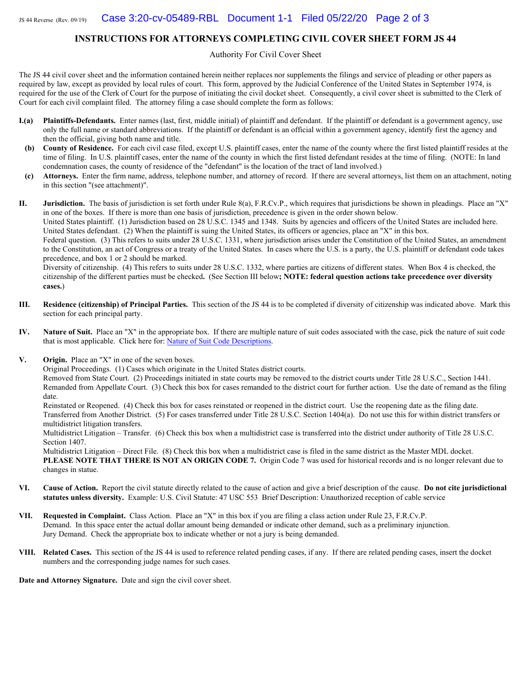#### **INSTRUCTIONS FOR ATTORNEYS COMPLETING CIVIL COVER SHEET FORM JS 44**

Authority For Civil Cover Sheet

The JS 44 civil cover sheet and the information contained herein neither replaces nor supplements the filings and service of pleading or other papers as required by law, except as provided by local rules of court. This form, approved by the Judicial Conference of the United States in September 1974, is required for the use of the Clerk of Court for the purpose of initiating the civil docket sheet. Consequently, a civil cover sheet is submitted to the Clerk of Court for each civil complaint filed. The attorney filing a case should complete the form as follows:

- **I.(a) Plaintiffs-Defendants.** Enter names (last, first, middle initial) of plaintiff and defendant. If the plaintiff or defendant is a government agency, use only the full name or standard abbreviations. If the plaintiff or defendant is an official within a government agency, identify first the agency and then the official, giving both name and title.
- **(b) County of Residence.** For each civil case filed, except U.S. plaintiff cases, enter the name of the county where the first listed plaintiff resides at the time of filing. In U.S. plaintiff cases, enter the name of the county in which the first listed defendant resides at the time of filing. (NOTE: In land condemnation cases, the county of residence of the "defendant" is the location of the tract of land involved.)
- **(c) Attorneys.** Enter the firm name, address, telephone number, and attorney of record. If there are several attorneys, list them on an attachment, noting in this section "(see attachment)".

**II. Jurisdiction.** The basis of jurisdiction is set forth under Rule 8(a), F.R.Cv.P., which requires that jurisdictions be shown in pleadings. Place an "X" in one of the boxes. If there is more than one basis of jurisdiction, precedence is given in the order shown below.

United States plaintiff. (1) Jurisdiction based on 28 U.S.C. 1345 and 1348. Suits by agencies and officers of the United States are included here. United States defendant. (2) When the plaintiff is suing the United States, its officers or agencies, place an "X" in this box.

Federal question. (3) This refers to suits under 28 U.S.C. 1331, where jurisdiction arises under the Constitution of the United States, an amendment to the Constitution, an act of Congress or a treaty of the United States. In cases where the U.S. is a party, the U.S. plaintiff or defendant code takes precedence, and box 1 or 2 should be marked.

Diversity of citizenship. (4) This refers to suits under 28 U.S.C. 1332, where parties are citizens of different states. When Box 4 is checked, the citizenship of the different parties must be checked**.** (See Section III below**; NOTE: federal question actions take precedence over diversity cases.**)

- **III. Residence (citizenship) of Principal Parties.** This section of the JS 44 is to be completed if diversity of citizenship was indicated above. Mark this section for each principal party.
- **IV. Nature of Suit.** Place an "X" in the appropriate box. If there are multiple nature of suit codes associated with the case, pick the nature of suit code that is most applicable. Click here for[: Nature of Suit Code Descriptions](http://www.uscourts.gov/forms/civil-forms/civil-cover-sheet).
- **V. Origin.** Place an "X" in one of the seven boxes.

Original Proceedings. (1) Cases which originate in the United States district courts.

Removed from State Court. (2) Proceedings initiated in state courts may be removed to the district courts under Title 28 U.S.C., Section 1441. Remanded from Appellate Court. (3) Check this box for cases remanded to the district court for further action. Use the date of remand as the filing date.

Reinstated or Reopened. (4) Check this box for cases reinstated or reopened in the district court. Use the reopening date as the filing date. Transferred from Another District. (5) For cases transferred under Title 28 U.S.C. Section 1404(a). Do not use this for within district transfers or multidistrict litigation transfers.

Multidistrict Litigation – Transfer. (6) Check this box when a multidistrict case is transferred into the district under authority of Title 28 U.S.C. Section 1407.

Multidistrict Litigation – Direct File. (8) Check this box when a multidistrict case is filed in the same district as the Master MDL docket. **PLEASE NOTE THAT THERE IS NOT AN ORIGIN CODE 7.** Origin Code 7 was used for historical records and is no longer relevant due to changes in statue.

- **VI. Cause of Action.** Report the civil statute directly related to the cause of action and give a brief description of the cause. **Do not cite jurisdictional statutes unless diversity.** Example: U.S. Civil Statute: 47 USC 553 Brief Description: Unauthorized reception of cable service
- **VII. Requested in Complaint.** Class Action. Place an "X" in this box if you are filing a class action under Rule 23, F.R.Cv.P. Demand. In this space enter the actual dollar amount being demanded or indicate other demand, such as a preliminary injunction. Jury Demand. Check the appropriate box to indicate whether or not a jury is being demanded.
- **VIII. Related Cases.** This section of the JS 44 is used to reference related pending cases, if any. If there are related pending cases, insert the docket numbers and the corresponding judge names for such cases.

**Date and Attorney Signature.** Date and sign the civil cover sheet.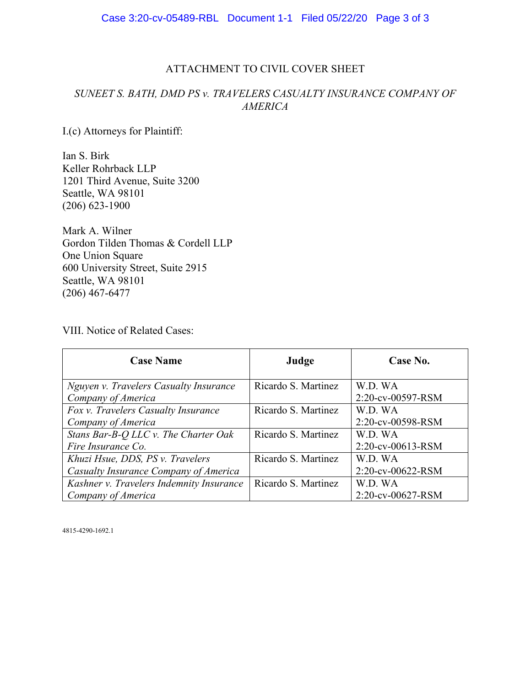# ATTACHMENT TO CIVIL COVER SHEET

# *SUNEET S. BATH, DMD PS v. TRAVELERS CASUALTY INSURANCE COMPANY OF AMERICA*

I.(c) Attorneys for Plaintiff:

Ian S. Birk Keller Rohrback LLP 1201 Third Avenue, Suite 3200 Seattle, WA 98101 (206) 623-1900

Mark A. Wilner Gordon Tilden Thomas & Cordell LLP One Union Square 600 University Street, Suite 2915 Seattle, WA 98101 (206) 467-6477

VIII. Notice of Related Cases:

| <b>Case Name</b>                         | Judge               | Case No.          |
|------------------------------------------|---------------------|-------------------|
| Nguyen v. Travelers Casualty Insurance   | Ricardo S. Martinez | W.D. WA           |
| Company of America                       |                     | 2:20-cv-00597-RSM |
| Fox v. Travelers Casualty Insurance      | Ricardo S. Martinez | W.D. WA           |
| Company of America                       |                     | 2:20-cv-00598-RSM |
| Stans Bar-B-Q LLC v. The Charter Oak     | Ricardo S. Martinez | W.D. WA           |
| Fire Insurance Co.                       |                     | 2:20-cv-00613-RSM |
| Khuzi Hsue, DDS, PS v. Travelers         | Ricardo S. Martinez | W.D. WA           |
| Casualty Insurance Company of America    |                     | 2:20-cv-00622-RSM |
| Kashner v. Travelers Indemnity Insurance | Ricardo S. Martinez | W.D. WA           |
| Company of America                       |                     | 2:20-cv-00627-RSM |

4815-4290-1692.1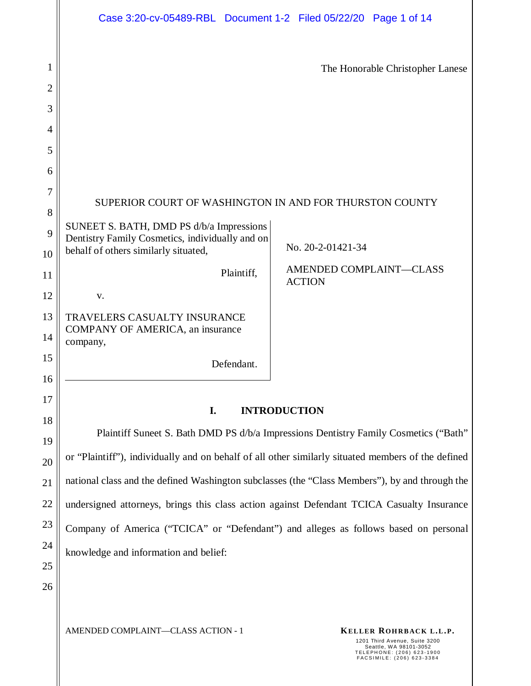|        | Case 3:20-cv-05489-RBL Document 1-2 Filed 05/22/20 Page 1 of 14                                    |                                                                                                                   |
|--------|----------------------------------------------------------------------------------------------------|-------------------------------------------------------------------------------------------------------------------|
| 1<br>2 |                                                                                                    | The Honorable Christopher Lanese                                                                                  |
| 3      |                                                                                                    |                                                                                                                   |
| 4      |                                                                                                    |                                                                                                                   |
| 5      |                                                                                                    |                                                                                                                   |
| 6      |                                                                                                    |                                                                                                                   |
| 7      |                                                                                                    |                                                                                                                   |
| 8      | SUPERIOR COURT OF WASHINGTON IN AND FOR THURSTON COUNTY                                            |                                                                                                                   |
| 9      | SUNEET S. BATH, DMD PS d/b/a Impressions<br>Dentistry Family Cosmetics, individually and on        |                                                                                                                   |
| 10     | behalf of others similarly situated,                                                               | No. 20-2-01421-34                                                                                                 |
| 11     | Plaintiff,                                                                                         | AMENDED COMPLAINT-CLASS<br><b>ACTION</b>                                                                          |
| 12     | V.                                                                                                 |                                                                                                                   |
| 13     | TRAVELERS CASUALTY INSURANCE                                                                       |                                                                                                                   |
| 14     | COMPANY OF AMERICA, an insurance<br>company,                                                       |                                                                                                                   |
| 15     | Defendant.                                                                                         |                                                                                                                   |
| 16     |                                                                                                    |                                                                                                                   |
| 17     | I.                                                                                                 | <b>INTRODUCTION</b>                                                                                               |
| 18     |                                                                                                    | Plaintiff Suneet S. Bath DMD PS d/b/a Impressions Dentistry Family Cosmetics ("Bath"                              |
| 19     |                                                                                                    |                                                                                                                   |
| 20     | or "Plaintiff"), individually and on behalf of all other similarly situated members of the defined |                                                                                                                   |
| 21     | national class and the defined Washington subclasses (the "Class Members"), by and through the     |                                                                                                                   |
| 22     | undersigned attorneys, brings this class action against Defendant TCICA Casualty Insurance         |                                                                                                                   |
| 23     | Company of America ("TCICA" or "Defendant") and alleges as follows based on personal               |                                                                                                                   |
| 24     | knowledge and information and belief:                                                              |                                                                                                                   |
| 25     |                                                                                                    |                                                                                                                   |
| 26     |                                                                                                    |                                                                                                                   |
|        | AMENDED COMPLAINT-CLASS ACTION - 1                                                                 | KELLER ROHRBACK L.L.P.                                                                                            |
|        |                                                                                                    | 1201 Third Avenue, Suite 3200<br>Seattle, WA 98101-3052<br>TELEPHONE: (206) 623-1900<br>FACSIMILE: (206) 623-3384 |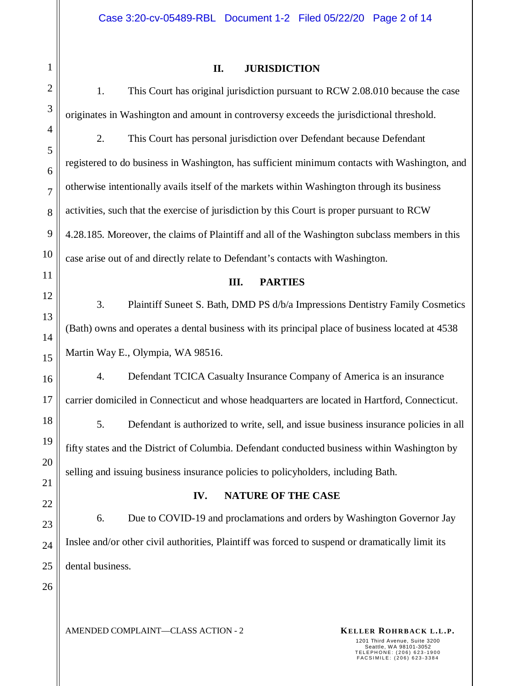#### **II. JURISDICTION**

1. This Court has original jurisdiction pursuant to RCW 2.08.010 because the case originates in Washington and amount in controversy exceeds the jurisdictional threshold.

2. This Court has personal jurisdiction over Defendant because Defendant registered to do business in Washington, has sufficient minimum contacts with Washington, and otherwise intentionally avails itself of the markets within Washington through its business activities, such that the exercise of jurisdiction by this Court is proper pursuant to RCW 4.28.185. Moreover, the claims of Plaintiff and all of the Washington subclass members in this case arise out of and directly relate to Defendant's contacts with Washington.

## **III. PARTIES**

3. Plaintiff Suneet S. Bath, DMD PS d/b/a Impressions Dentistry Family Cosmetics (Bath) owns and operates a dental business with its principal place of business located at 4538 Martin Way E., Olympia, WA 98516.

4. Defendant TCICA Casualty Insurance Company of America is an insurance carrier domiciled in Connecticut and whose headquarters are located in Hartford, Connecticut.

5. Defendant is authorized to write, sell, and issue business insurance policies in all fifty states and the District of Columbia. Defendant conducted business within Washington by selling and issuing business insurance policies to policyholders, including Bath.

#### **IV. NATURE OF THE CASE**

6. Due to COVID-19 and proclamations and orders by Washington Governor Jay Inslee and/or other civil authorities, Plaintiff was forced to suspend or dramatically limit its dental business.

AMENDED COMPLAINT—CLASS ACTION - 2 **KELLER ROHRBACK L.L.P.**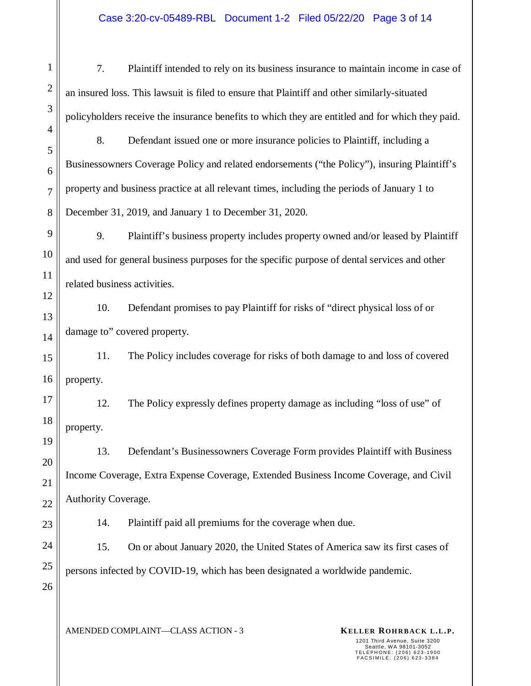7. Plaintiff intended to rely on its business insurance to maintain income in case of an insured loss. This lawsuit is filed to ensure that Plaintiff and other similarly-situated policyholders receive the insurance benefits to which they are entitled and for which they paid.

8. Defendant issued one or more insurance policies to Plaintiff, including a Businessowners Coverage Policy and related endorsements ("the Policy"), insuring Plaintiff's property and business practice at all relevant times, including the periods of January 1 to December 31, 2019, and January 1 to December 31, 2020.

9. Plaintiff's business property includes property owned and/or leased by Plaintiff and used for general business purposes for the specific purpose of dental services and other related business activities.

10. Defendant promises to pay Plaintiff for risks of "direct physical loss of or damage to" covered property.

15 16 11. The Policy includes coverage for risks of both damage to and loss of covered property.

17 18 12. The Policy expressly defines property damage as including "loss of use" of property.

13. Defendant's Businessowners Coverage Form provides Plaintiff with Business Income Coverage, Extra Expense Coverage, Extended Business Income Coverage, and Civil Authority Coverage.

14. Plaintiff paid all premiums for the coverage when due.

15. On or about January 2020, the United States of America saw its first cases of persons infected by COVID-19, which has been designated a worldwide pandemic.

25 26

1

2

3

4

5

6

7

8

9

10

11

12

13

14

19

20

21

22

23

24

AMENDED COMPLAINT—CLASS ACTION - 3 **KELLER ROHRBACK L.L.P.**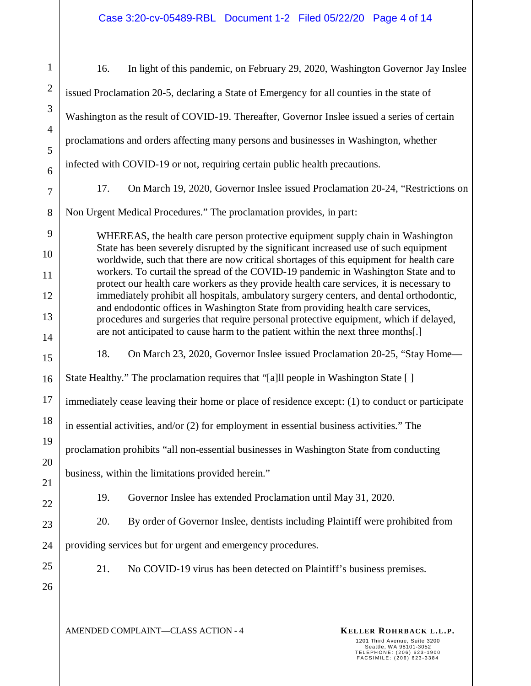| $\mathbf{1}$   | In light of this pandemic, on February 29, 2020, Washington Governor Jay Inslee<br>16.                                                                                              |  |  |
|----------------|-------------------------------------------------------------------------------------------------------------------------------------------------------------------------------------|--|--|
| $\overline{2}$ | issued Proclamation 20-5, declaring a State of Emergency for all counties in the state of                                                                                           |  |  |
| 3              | Washington as the result of COVID-19. Thereafter, Governor Inslee issued a series of certain                                                                                        |  |  |
| $\overline{4}$ | proclamations and orders affecting many persons and businesses in Washington, whether                                                                                               |  |  |
| 5<br>6         | infected with COVID-19 or not, requiring certain public health precautions.                                                                                                         |  |  |
| $\overline{7}$ | On March 19, 2020, Governor Inslee issued Proclamation 20-24, "Restrictions on<br>17.                                                                                               |  |  |
| 8              | Non Urgent Medical Procedures." The proclamation provides, in part:                                                                                                                 |  |  |
| 9              | WHEREAS, the health care person protective equipment supply chain in Washington                                                                                                     |  |  |
| 10             | State has been severely disrupted by the significant increased use of such equipment<br>worldwide, such that there are now critical shortages of this equipment for health care     |  |  |
| 11             | workers. To curtail the spread of the COVID-19 pandemic in Washington State and to                                                                                                  |  |  |
| 12             | protect our health care workers as they provide health care services, it is necessary to<br>immediately prohibit all hospitals, ambulatory surgery centers, and dental orthodontic, |  |  |
| 13             | and endodontic offices in Washington State from providing health care services,<br>procedures and surgeries that require personal protective equipment, which if delayed,           |  |  |
| 14             | are not anticipated to cause harm to the patient within the next three months[.]                                                                                                    |  |  |
| 15             | 18.<br>On March 23, 2020, Governor Inslee issued Proclamation 20-25, "Stay Home—                                                                                                    |  |  |
| 16             | State Healthy." The proclamation requires that "[a]ll people in Washington State []                                                                                                 |  |  |
| 17             | immediately cease leaving their home or place of residence except: (1) to conduct or participate                                                                                    |  |  |
| 18             | in essential activities, and/or (2) for employment in essential business activities." The                                                                                           |  |  |
| 19             | proclamation prohibits "all non-essential businesses in Washington State from conducting                                                                                            |  |  |
| 20             |                                                                                                                                                                                     |  |  |
| 21             | business, within the limitations provided herein."                                                                                                                                  |  |  |
| 22             | Governor Inslee has extended Proclamation until May 31, 2020.<br>19.                                                                                                                |  |  |
| 23             | By order of Governor Inslee, dentists including Plaintiff were prohibited from<br>20.                                                                                               |  |  |
| 24             | providing services but for urgent and emergency procedures.                                                                                                                         |  |  |
| 25             | 21.<br>No COVID-19 virus has been detected on Plaintiff's business premises.                                                                                                        |  |  |
| 26             |                                                                                                                                                                                     |  |  |
|                | AMENDED COMPLAINT-CLASS ACTION - 4<br>KELLER ROHRBACK L.L.P.<br>1201 Third Avenue, Suite 3200<br>Seattle, WA 98101-3052                                                             |  |  |
|                | TELEPHONE: (206) 623-1900<br>FACSIMILE: (206) 623-3384                                                                                                                              |  |  |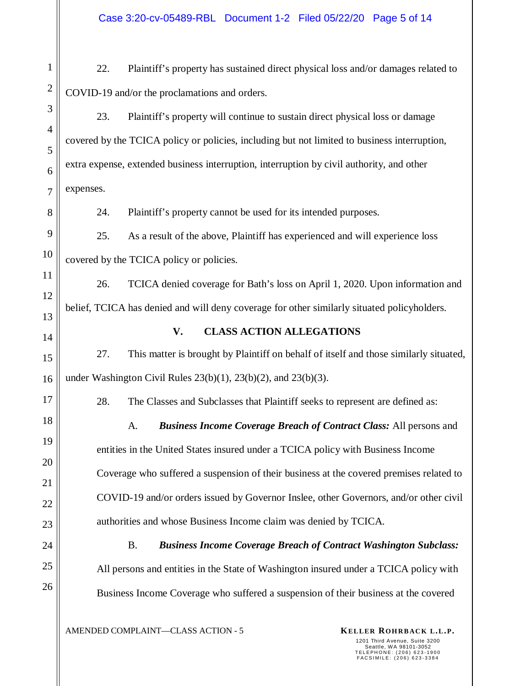22. Plaintiff's property has sustained direct physical loss and/or damages related to COVID-19 and/or the proclamations and orders.

1

2

3

4

5

6

7

8

9

10

11

12

13

14

15

16

17

18

19

20

21

22

23

24

25

26

23. Plaintiff's property will continue to sustain direct physical loss or damage covered by the TCICA policy or policies, including but not limited to business interruption, extra expense, extended business interruption, interruption by civil authority, and other expenses.

24. Plaintiff's property cannot be used for its intended purposes.

25. As a result of the above, Plaintiff has experienced and will experience loss covered by the TCICA policy or policies.

26. TCICA denied coverage for Bath's loss on April 1, 2020. Upon information and belief, TCICA has denied and will deny coverage for other similarly situated policyholders.

**V. CLASS ACTION ALLEGATIONS** 

27. This matter is brought by Plaintiff on behalf of itself and those similarly situated, under Washington Civil Rules  $23(b)(1)$ ,  $23(b)(2)$ , and  $23(b)(3)$ .

28. The Classes and Subclasses that Plaintiff seeks to represent are defined as:

A. *Business Income Coverage Breach of Contract Class:* All persons and entities in the United States insured under a TCICA policy with Business Income Coverage who suffered a suspension of their business at the covered premises related to COVID-19 and/or orders issued by Governor Inslee, other Governors, and/or other civil authorities and whose Business Income claim was denied by TCICA.

B. *Business Income Coverage Breach of Contract Washington Subclass:* All persons and entities in the State of Washington insured under a TCICA policy with Business Income Coverage who suffered a suspension of their business at the covered

AMENDED COMPLAINT—CLASS ACTION - 5 **KELLER ROHRBACK L.L.P.**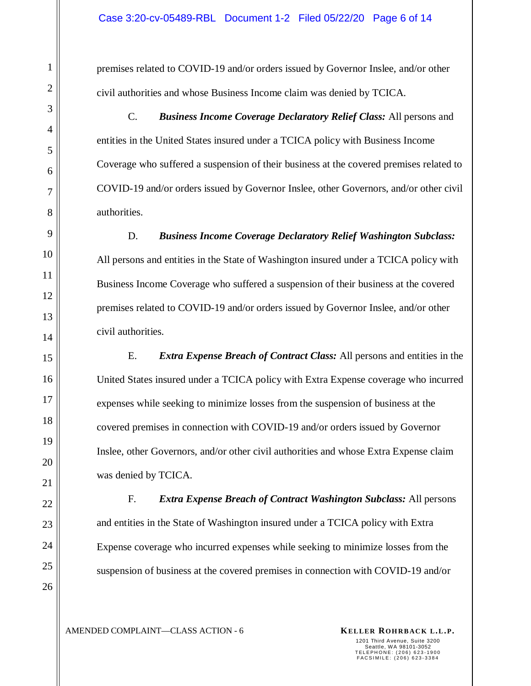premises related to COVID-19 and/or orders issued by Governor Inslee, and/or other civil authorities and whose Business Income claim was denied by TCICA.

C. *Business Income Coverage Declaratory Relief Class:* All persons and entities in the United States insured under a TCICA policy with Business Income Coverage who suffered a suspension of their business at the covered premises related to COVID-19 and/or orders issued by Governor Inslee, other Governors, and/or other civil authorities.

D. *Business Income Coverage Declaratory Relief Washington Subclass:* All persons and entities in the State of Washington insured under a TCICA policy with Business Income Coverage who suffered a suspension of their business at the covered premises related to COVID-19 and/or orders issued by Governor Inslee, and/or other civil authorities.

E. *Extra Expense Breach of Contract Class:* All persons and entities in the United States insured under a TCICA policy with Extra Expense coverage who incurred expenses while seeking to minimize losses from the suspension of business at the covered premises in connection with COVID-19 and/or orders issued by Governor Inslee, other Governors, and/or other civil authorities and whose Extra Expense claim was denied by TCICA.

F. *Extra Expense Breach of Contract Washington Subclass:* All persons and entities in the State of Washington insured under a TCICA policy with Extra Expense coverage who incurred expenses while seeking to minimize losses from the suspension of business at the covered premises in connection with COVID-19 and/or

26

1

2

3

4

5

6

AMENDED COMPLAINT—CLASS ACTION - 6 **KELLER ROHRBACK L.L.P.**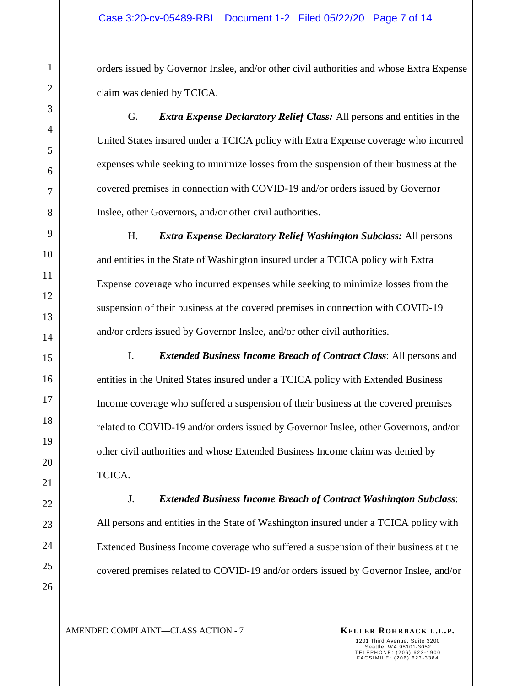orders issued by Governor Inslee, and/or other civil authorities and whose Extra Expense claim was denied by TCICA.

G. *Extra Expense Declaratory Relief Class:* All persons and entities in the United States insured under a TCICA policy with Extra Expense coverage who incurred expenses while seeking to minimize losses from the suspension of their business at the covered premises in connection with COVID-19 and/or orders issued by Governor Inslee, other Governors, and/or other civil authorities.

H. *Extra Expense Declaratory Relief Washington Subclass:* All persons and entities in the State of Washington insured under a TCICA policy with Extra Expense coverage who incurred expenses while seeking to minimize losses from the suspension of their business at the covered premises in connection with COVID-19 and/or orders issued by Governor Inslee, and/or other civil authorities.

I. *Extended Business Income Breach of Contract Class*: All persons and entities in the United States insured under a TCICA policy with Extended Business Income coverage who suffered a suspension of their business at the covered premises related to COVID-19 and/or orders issued by Governor Inslee, other Governors, and/or other civil authorities and whose Extended Business Income claim was denied by TCICA.

J. *Extended Business Income Breach of Contract Washington Subclass*: All persons and entities in the State of Washington insured under a TCICA policy with Extended Business Income coverage who suffered a suspension of their business at the covered premises related to COVID-19 and/or orders issued by Governor Inslee, and/or

AMENDED COMPLAINT—CLASS ACTION - 7 **KELLER ROHRBACK L.L.P.**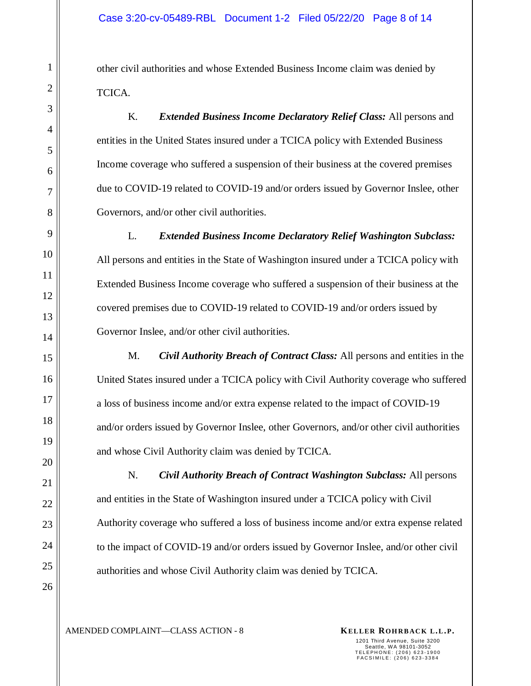other civil authorities and whose Extended Business Income claim was denied by TCICA.

K. *Extended Business Income Declaratory Relief Class:* All persons and entities in the United States insured under a TCICA policy with Extended Business Income coverage who suffered a suspension of their business at the covered premises due to COVID-19 related to COVID-19 and/or orders issued by Governor Inslee, other Governors, and/or other civil authorities.

L. *Extended Business Income Declaratory Relief Washington Subclass:*  All persons and entities in the State of Washington insured under a TCICA policy with Extended Business Income coverage who suffered a suspension of their business at the covered premises due to COVID-19 related to COVID-19 and/or orders issued by Governor Inslee, and/or other civil authorities.

M. *Civil Authority Breach of Contract Class:* All persons and entities in the United States insured under a TCICA policy with Civil Authority coverage who suffered a loss of business income and/or extra expense related to the impact of COVID-19 and/or orders issued by Governor Inslee, other Governors, and/or other civil authorities and whose Civil Authority claim was denied by TCICA.

N. *Civil Authority Breach of Contract Washington Subclass:* All persons and entities in the State of Washington insured under a TCICA policy with Civil Authority coverage who suffered a loss of business income and/or extra expense related to the impact of COVID-19 and/or orders issued by Governor Inslee, and/or other civil authorities and whose Civil Authority claim was denied by TCICA.

1

AMENDED COMPLAINT—CLASS ACTION - 8 **KELLER ROHRBACK L.L.P.**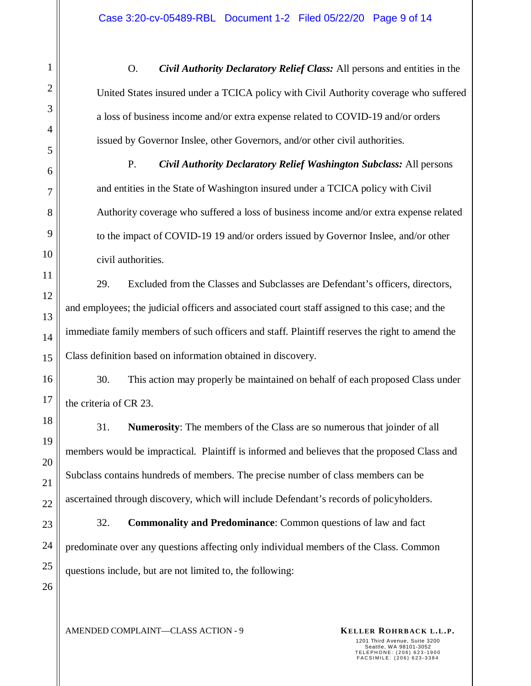O. *Civil Authority Declaratory Relief Class:* All persons and entities in the United States insured under a TCICA policy with Civil Authority coverage who suffered a loss of business income and/or extra expense related to COVID-19 and/or orders issued by Governor Inslee, other Governors, and/or other civil authorities.

P. *Civil Authority Declaratory Relief Washington Subclass:* All persons and entities in the State of Washington insured under a TCICA policy with Civil Authority coverage who suffered a loss of business income and/or extra expense related to the impact of COVID-19 19 and/or orders issued by Governor Inslee, and/or other civil authorities.

29. Excluded from the Classes and Subclasses are Defendant's officers, directors, and employees; the judicial officers and associated court staff assigned to this case; and the immediate family members of such officers and staff. Plaintiff reserves the right to amend the Class definition based on information obtained in discovery.

30. This action may properly be maintained on behalf of each proposed Class under the criteria of CR 23.

31. **Numerosity**: The members of the Class are so numerous that joinder of all members would be impractical. Plaintiff is informed and believes that the proposed Class and Subclass contains hundreds of members. The precise number of class members can be ascertained through discovery, which will include Defendant's records of policyholders.

32. **Commonality and Predominance**: Common questions of law and fact predominate over any questions affecting only individual members of the Class. Common questions include, but are not limited to, the following:

AMENDED COMPLAINT—CLASS ACTION - 9 **KELLER ROHRBACK L.L.P.**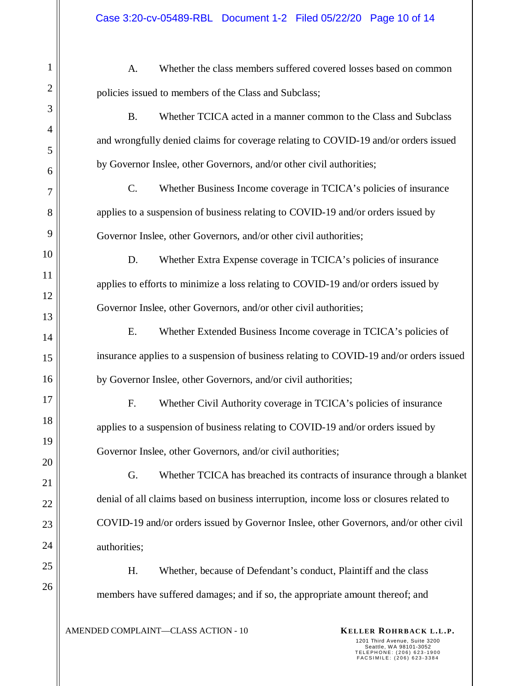A. Whether the class members suffered covered losses based on common policies issued to members of the Class and Subclass;

B. Whether TCICA acted in a manner common to the Class and Subclass and wrongfully denied claims for coverage relating to COVID-19 and/or orders issued by Governor Inslee, other Governors, and/or other civil authorities;

C. Whether Business Income coverage in TCICA's policies of insurance applies to a suspension of business relating to COVID-19 and/or orders issued by Governor Inslee, other Governors, and/or other civil authorities;

D. Whether Extra Expense coverage in TCICA's policies of insurance applies to efforts to minimize a loss relating to COVID-19 and/or orders issued by Governor Inslee, other Governors, and/or other civil authorities;

E. Whether Extended Business Income coverage in TCICA's policies of insurance applies to a suspension of business relating to COVID-19 and/or orders issued by Governor Inslee, other Governors, and/or civil authorities;

F. Whether Civil Authority coverage in TCICA's policies of insurance applies to a suspension of business relating to COVID-19 and/or orders issued by Governor Inslee, other Governors, and/or civil authorities;

G. Whether TCICA has breached its contracts of insurance through a blanket denial of all claims based on business interruption, income loss or closures related to COVID-19 and/or orders issued by Governor Inslee, other Governors, and/or other civil authorities;

H. Whether, because of Defendant's conduct, Plaintiff and the class members have suffered damages; and if so, the appropriate amount thereof; and

AMENDED COMPLAINT—CLASS ACTION - 10 **KELLER ROHRBACK L.L.P.**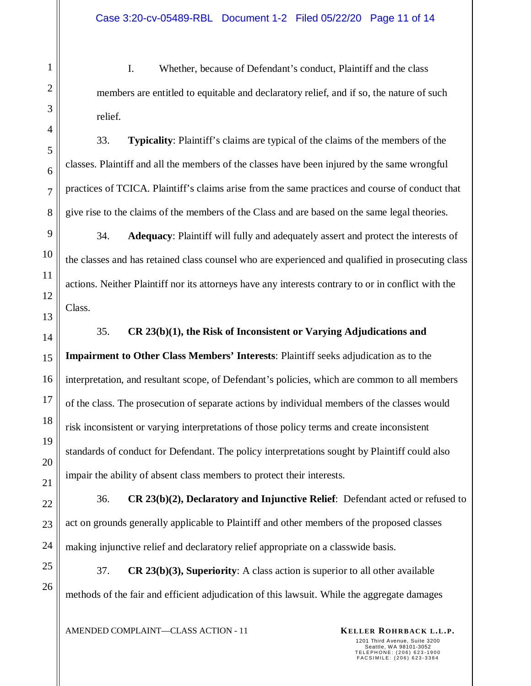I. Whether, because of Defendant's conduct, Plaintiff and the class members are entitled to equitable and declaratory relief, and if so, the nature of such relief.

33. **Typicality**: Plaintiff's claims are typical of the claims of the members of the classes. Plaintiff and all the members of the classes have been injured by the same wrongful practices of TCICA. Plaintiff's claims arise from the same practices and course of conduct that give rise to the claims of the members of the Class and are based on the same legal theories.

34. **Adequacy**: Plaintiff will fully and adequately assert and protect the interests of the classes and has retained class counsel who are experienced and qualified in prosecuting class actions. Neither Plaintiff nor its attorneys have any interests contrary to or in conflict with the Class.

1

2

3

4

5

6

7

8

9

10

11

12

13

35. **CR 23(b)(1), the Risk of Inconsistent or Varying Adjudications and** 

**Impairment to Other Class Members' Interests**: Plaintiff seeks adjudication as to the interpretation, and resultant scope, of Defendant's policies, which are common to all members of the class. The prosecution of separate actions by individual members of the classes would risk inconsistent or varying interpretations of those policy terms and create inconsistent standards of conduct for Defendant. The policy interpretations sought by Plaintiff could also impair the ability of absent class members to protect their interests.

36. **CR 23(b)(2), Declaratory and Injunctive Relief**: Defendant acted or refused to act on grounds generally applicable to Plaintiff and other members of the proposed classes making injunctive relief and declaratory relief appropriate on a classwide basis.

37. **CR 23(b)(3), Superiority**: A class action is superior to all other available methods of the fair and efficient adjudication of this lawsuit. While the aggregate damages

AMENDED COMPLAINT—CLASS ACTION - 11 **KELLER ROHRBACK L.L.P.**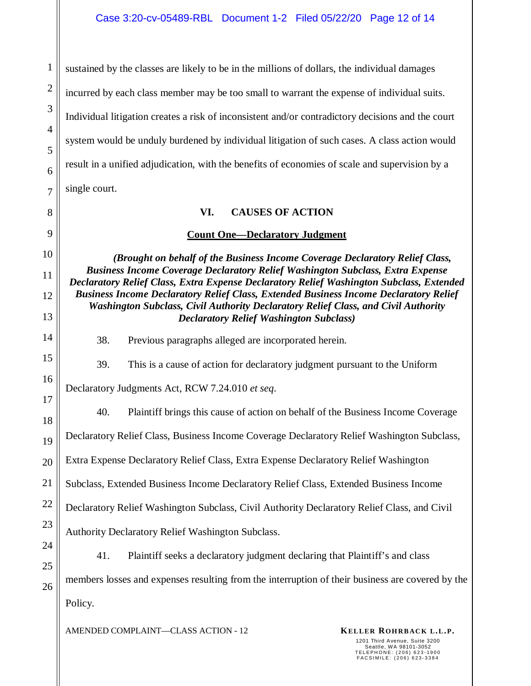sustained by the classes are likely to be in the millions of dollars, the individual damages incurred by each class member may be too small to warrant the expense of individual suits. Individual litigation creates a risk of inconsistent and/or contradictory decisions and the court system would be unduly burdened by individual litigation of such cases. A class action would result in a unified adjudication, with the benefits of economies of scale and supervision by a single court.

# **VI. CAUSES OF ACTION**

# **Count One—Declaratory Judgment**

*(Brought on behalf of the Business Income Coverage Declaratory Relief Class, Business Income Coverage Declaratory Relief Washington Subclass, Extra Expense Declaratory Relief Class, Extra Expense Declaratory Relief Washington Subclass, Extended Business Income Declaratory Relief Class, Extended Business Income Declaratory Relief Washington Subclass, Civil Authority Declaratory Relief Class, and Civil Authority Declaratory Relief Washington Subclass)* 

38. Previous paragraphs alleged are incorporated herein.

39. This is a cause of action for declaratory judgment pursuant to the Uniform

Declaratory Judgments Act, RCW 7.24.010 *et seq*.

40. Plaintiff brings this cause of action on behalf of the Business Income Coverage

Declaratory Relief Class, Business Income Coverage Declaratory Relief Washington Subclass,

Extra Expense Declaratory Relief Class, Extra Expense Declaratory Relief Washington

Subclass, Extended Business Income Declaratory Relief Class, Extended Business Income

Declaratory Relief Washington Subclass, Civil Authority Declaratory Relief Class, and Civil

Authority Declaratory Relief Washington Subclass.

41. Plaintiff seeks a declaratory judgment declaring that Plaintiff's and class members losses and expenses resulting from the interruption of their business are covered by the Policy.

AMENDED COMPLAINT—CLASS ACTION - 12 **KELLER ROHRBACK L.L.P.**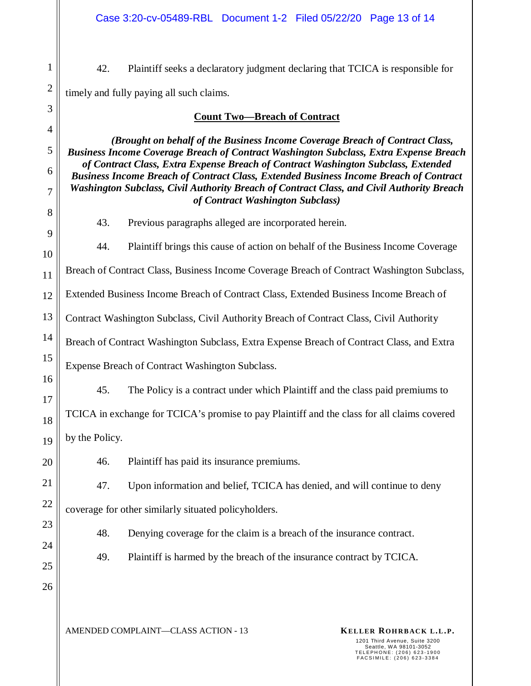42. Plaintiff seeks a declaratory judgment declaring that TCICA is responsible for timely and fully paying all such claims.

1

2  $\overline{a}$ 

| $\mathfrak{I}$      | <b>Count Two-Breach of Contract</b>                                                                                                                                                                                                                                                                                                                                                                                                                                                  |  |  |  |  |  |
|---------------------|--------------------------------------------------------------------------------------------------------------------------------------------------------------------------------------------------------------------------------------------------------------------------------------------------------------------------------------------------------------------------------------------------------------------------------------------------------------------------------------|--|--|--|--|--|
| $\overline{4}$<br>5 | (Brought on behalf of the Business Income Coverage Breach of Contract Class,<br>Business Income Coverage Breach of Contract Washington Subclass, Extra Expense Breach<br>of Contract Class, Extra Expense Breach of Contract Washington Subclass, Extended<br>Business Income Breach of Contract Class, Extended Business Income Breach of Contract<br>Washington Subclass, Civil Authority Breach of Contract Class, and Civil Authority Breach<br>of Contract Washington Subclass) |  |  |  |  |  |
| 6                   |                                                                                                                                                                                                                                                                                                                                                                                                                                                                                      |  |  |  |  |  |
| $\overline{7}$      |                                                                                                                                                                                                                                                                                                                                                                                                                                                                                      |  |  |  |  |  |
| 8<br>9              | 43.<br>Previous paragraphs alleged are incorporated herein.                                                                                                                                                                                                                                                                                                                                                                                                                          |  |  |  |  |  |
| 10                  | 44.<br>Plaintiff brings this cause of action on behalf of the Business Income Coverage                                                                                                                                                                                                                                                                                                                                                                                               |  |  |  |  |  |
| 11                  | Breach of Contract Class, Business Income Coverage Breach of Contract Washington Subclass,                                                                                                                                                                                                                                                                                                                                                                                           |  |  |  |  |  |
| 12                  | Extended Business Income Breach of Contract Class, Extended Business Income Breach of                                                                                                                                                                                                                                                                                                                                                                                                |  |  |  |  |  |
| 13                  | Contract Washington Subclass, Civil Authority Breach of Contract Class, Civil Authority                                                                                                                                                                                                                                                                                                                                                                                              |  |  |  |  |  |
| 14                  | Breach of Contract Washington Subclass, Extra Expense Breach of Contract Class, and Extra                                                                                                                                                                                                                                                                                                                                                                                            |  |  |  |  |  |
| 15                  | Expense Breach of Contract Washington Subclass.                                                                                                                                                                                                                                                                                                                                                                                                                                      |  |  |  |  |  |
| 16<br>17            | 45.<br>The Policy is a contract under which Plaintiff and the class paid premiums to                                                                                                                                                                                                                                                                                                                                                                                                 |  |  |  |  |  |
| 18                  | TCICA in exchange for TCICA's promise to pay Plaintiff and the class for all claims covered                                                                                                                                                                                                                                                                                                                                                                                          |  |  |  |  |  |
| 19                  | by the Policy.                                                                                                                                                                                                                                                                                                                                                                                                                                                                       |  |  |  |  |  |
| 20                  | Plaintiff has paid its insurance premiums.<br>46.                                                                                                                                                                                                                                                                                                                                                                                                                                    |  |  |  |  |  |
| 21                  | 47.<br>Upon information and belief, TCICA has denied, and will continue to deny                                                                                                                                                                                                                                                                                                                                                                                                      |  |  |  |  |  |
| 22                  | coverage for other similarly situated policyholders.                                                                                                                                                                                                                                                                                                                                                                                                                                 |  |  |  |  |  |
| 23                  | 48.<br>Denying coverage for the claim is a breach of the insurance contract.                                                                                                                                                                                                                                                                                                                                                                                                         |  |  |  |  |  |
| 24                  | Plaintiff is harmed by the breach of the insurance contract by TCICA.<br>49.                                                                                                                                                                                                                                                                                                                                                                                                         |  |  |  |  |  |
| 25                  |                                                                                                                                                                                                                                                                                                                                                                                                                                                                                      |  |  |  |  |  |
| 26                  |                                                                                                                                                                                                                                                                                                                                                                                                                                                                                      |  |  |  |  |  |
|                     |                                                                                                                                                                                                                                                                                                                                                                                                                                                                                      |  |  |  |  |  |

AMENDED COMPLAINT—CLASS ACTION - 13 **KELLER ROHRBACK L.L.P.**